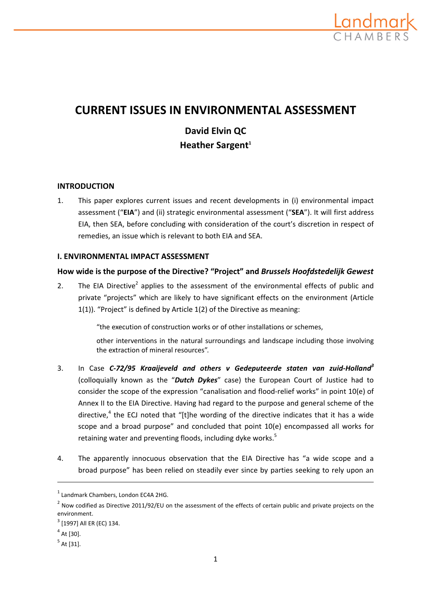

# **CURRENT ISSUES IN ENVIRONMENTAL ASSESSMENT**

# **David Elvin QC Heather Sargent**<sup>1</sup>

# **INTRODUCTION**

1. This paper explores current issues and recent developments in (i) environmental impact assessment ("**EIA**") and (ii) strategic environmental assessment ("**SEA**"). It will first address EIA, then SEA, before concluding with consideration of the court's discretion in respect of remedies, an issue which is relevant to both EIA and SEA.

# **I. ENVIRONMENTAL IMPACT ASSESSMENT**

# **How wide is the purpose of the Directive? "Project" and** *Brussels Hoofdstedelijk Gewest*

2. The EIA Directive<sup>2</sup> applies to the assessment of the environmental effects of public and private "projects" which are likely to have significant effects on the environment (Article 1(1)). "Project" is defined by Article 1(2) of the Directive as meaning:

"the execution of construction works or of other installations or schemes,

other interventions in the natural surroundings and landscape including those involving the extraction of mineral resources".

- 3. In Case *C‐72/95 Kraaijeveld and others v Gedeputeerde staten van zuid‐Holland<sup>3</sup>* (colloquially known as the "*Dutch Dykes*" case) the European Court of Justice had to consider the scope of the expression "canalisation and flood-relief works" in point 10(e) of Annex II to the EIA Directive. Having had regard to the purpose and general scheme of the directive, $4$  the ECJ noted that "[t]he wording of the directive indicates that it has a wide scope and a broad purpose" and concluded that point 10(e) encompassed all works for retaining water and preventing floods, including dyke works.<sup>5</sup>
- 4. The apparently innocuous observation that the EIA Directive has "a wide scope and a broad purpose" has been relied on steadily ever since by parties seeking to rely upon an

<u> 1989 - Johann Stein, marwolaethau a bhann an chomhair an chomhair an chomhair an chomhair an chomhair an chom</u>

<sup>1</sup> Landmark Chambers, London EC4A 2HG.

 $2$  Now codified as Directive 2011/92/EU on the assessment of the effects of certain public and private projects on the environment.

 $3$  [1997] All ER (EC) 134.

 $<sup>4</sup>$  At [30].</sup>

 $<sup>5</sup>$  At [31].</sup>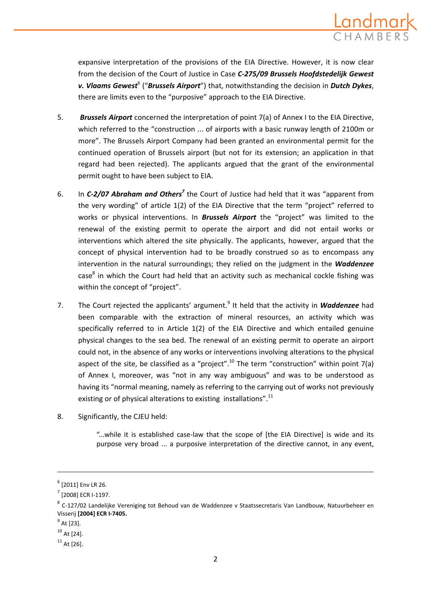

expansive interpretation of the provisions of the EIA Directive. However, it is now clear from the decision of the Court of Justice in Case *C‐275/09 Brussels Hoofdstedelijk Gewest v. Vlaams Gewest*<sup>6</sup> ("*Brussels Airport*") that, notwithstanding the decision in *Dutch Dykes*, there are limits even to the "purposive" approach to the EIA Directive.

- 5. *Brussels Airport* concerned the interpretation of point 7(a) of Annex I to the EIA Directive, which referred to the "construction ... of airports with a basic runway length of 2100m or more". The Brussels Airport Company had been granted an environmental permit for the continued operation of Brussels airport (but not for its extension; an application in that regard had been rejected). The applicants argued that the grant of the environmental permit ought to have been subject to EIA.
- 6. In *C‐2/07 Abraham and Others<sup>7</sup>* the Court of Justice had held that it was "apparent from the very wording" of article 1(2) of the EIA Directive that the term "project" referred to works or physical interventions. In *Brussels Airport* the "project" was limited to the renewal of the existing permit to operate the airport and did not entail works or interventions which altered the site physically. The applicants, however, argued that the concept of physical intervention had to be broadly construed so as to encompass any intervention in the natural surroundings; they relied on the judgment in the *Waddenzee*  $case<sup>8</sup>$  in which the Court had held that an activity such as mechanical cockle fishing was within the concept of "project".
- 7. The Court rejected the applicants' argument.<sup>9</sup> It held that the activity in **Waddenzee** had been comparable with the extraction of mineral resources, an activity which was specifically referred to in Article 1(2) of the EIA Directive and which entailed genuine physical changes to the sea bed. The renewal of an existing permit to operate an airport could not, in the absence of any works or interventions involving alterations to the physical aspect of the site, be classified as a "project".<sup>10</sup> The term "construction" within point 7(a) of Annex I, moreover, was "not in any way ambiguous" and was to be understood as having its "normal meaning, namely as referring to the carrying out of works not previously existing or of physical alterations to existing installations".<sup>11</sup>
- 8. Significantly, the CJEU held:

"...while it is established case‐law that the scope of [the EIA Directive] is wide and its purpose very broad ... a purposive interpretation of the directive cannot, in any event,

<u> 1989 - Johann Stein, marwolaethau a bhann an chomhair an chomhair an chomhair an chomhair an chomhair an chom</u>

 $<sup>6</sup>$  [2011] Env LR 26.</sup>

<sup>7</sup> [2008] ECR I‐1197.

 $^8$  C-127/02 Landelijke Vereniging tot Behoud van de Waddenzee v Staatssecretaris Van Landbouw, Natuurbeheer en Visserij **[2004] ECR I‐7405.**

 $^{9}$  At [23].

 $10$  At [24].

 $11$  At [26].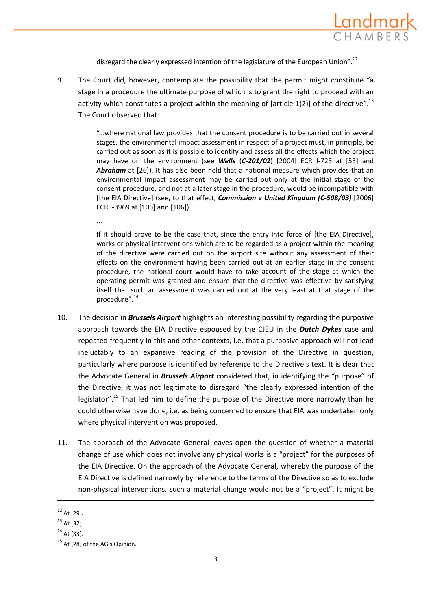

disregard the clearly expressed intention of the legislature of the European Union".<sup>12</sup>

9. The Court did, however, contemplate the possibility that the permit might constitute "a stage in a procedure the ultimate purpose of which is to grant the right to proceed with an activity which constitutes a project within the meaning of [article  $1(2)$ ] of the directive".<sup>13</sup> The Court observed that:

> "...where national law provides that the consent procedure is to be carried out in several stages, the environmental impact assessment in respect of a project must, in principle, be carried out as soon as it is possible to identify and assess all the effects which the project may have on the environment (see *Wells* (*C‐201/02*) [2004] ECR I‐723 at [53] and Abraham at [26]). It has also been held that a national measure which provides that an environmental impact assessment may be carried out only at the initial stage of the consent procedure, and not at a later stage in the procedure, would be incompatible with [the EIA Directive] (see, to that effect, *Commission v United Kingdom (C‐508/03)* [2006] ECR I‐3969 at [105] and [106]).

> If it should prove to be the case that, since the entry into force of [the EIA Directive], works or physical interventions which are to be regarded as a project within the meaning of the directive were carried out on the airport site without any assessment of their effects on the environment having been carried out at an earlier stage in the consent procedure, the national court would have to take account of the stage at which the operating permit was granted and ensure that the directive was effective by satisfying itself that such an assessment was carried out at the very least at that stage of the procedure".<sup>14</sup>

- 10. The decision in *Brussels Airport* highlights an interesting possibility regarding the purposive approach towards the EIA Directive espoused by the CJEU in the *Dutch Dykes* case and repeated frequently in this and other contexts, i.e. that a purposive approach will not lead ineluctably to an expansive reading of the provision of the Directive in question, particularly where purpose is identified by reference to the Directive's text. It is clear that the Advocate General in *Brussels Airport* considered that, in identifying the "purpose" of the Directive, it was not legitimate to disregard "the clearly expressed intention of the legislator".<sup>15</sup> That led him to define the purpose of the Directive more narrowly than he could otherwise have done, i.e. as being concerned to ensure that EIA was undertaken only where physical intervention was proposed.
- 11. The approach of the Advocate General leaves open the question of whether a material change of use which does not involve any physical works is a "project" for the purposes of the EIA Directive. On the approach of the Advocate General, whereby the purpose of the EIA Directive is defined narrowly by reference to the terms of the Directive so as to exclude non‐physical interventions, such a material change would not be a "project". It might be

<u> 1989 - Johann Stein, marwolaethau a bhann an chomhair an chomhair an chomhair an chomhair an chomhair an chom</u>

...

 $12$  At [29].

 $13$  At [32].

 $14$  At [33].

<sup>&</sup>lt;sup>15</sup> At [28] of the AG's Opinion.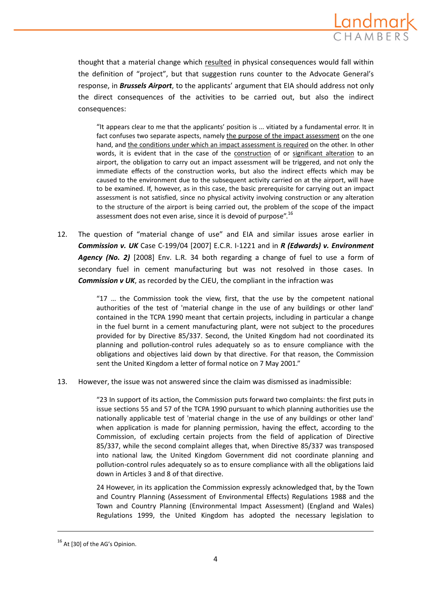

thought that a material change which resulted in physical consequences would fall within the definition of "project", but that suggestion runs counter to the Advocate General's response, in *Brussels Airport*, to the applicants' argument that EIA should address not only the direct consequences of the activities to be carried out, but also the indirect consequences:

"It appears clear to me that the applicants' position is ... vitiated by a fundamental error. It in fact confuses two separate aspects, namely the purpose of the impact assessment on the one hand, and the conditions under which an impact assessment is required on the other. In other words, it is evident that in the case of the construction of or significant alteration to an airport, the obligation to carry out an impact assessment will be triggered, and not only the immediate effects of the construction works, but also the indirect effects which may be caused to the environment due to the subsequent activity carried on at the airport, will have to be examined. If, however, as in this case, the basic prerequisite for carrying out an impact assessment is not satisfied, since no physical activity involving construction or any alteration to the structure of the airport is being carried out, the problem of the scope of the impact assessment does not even arise, since it is devoid of purpose".<sup>16</sup>

12. The question of "material change of use" and EIA and similar issues arose earlier in *Commission v. UK* Case C‐199/04 [2007] E.C.R. I‐1221 and in *R (Edwards) v. Environment Agency (No. 2)* [2008] Env. L.R. 34 both regarding a change of fuel to use a form of secondary fuel in cement manufacturing but was not resolved in those cases. In *Commission v UK*, as recorded by the CJEU, the compliant in the infraction was

> "17 … the Commission took the view, first, that the use by the competent national authorities of the test of 'material change in the use of any buildings or other land' contained in the TCPA 1990 meant that certain projects, including in particular a change in the fuel burnt in a cement manufacturing plant, were not subject to the procedures provided for by Directive 85/337. Second, the United Kingdom had not coordinated its planning and pollution‐control rules adequately so as to ensure compliance with the obligations and objectives laid down by that directive. For that reason, the Commission sent the United Kingdom a letter of formal notice on 7 May 2001."

13. However, the issue was not answered since the claim was dismissed as inadmissible:

"23 In support of its action, the Commission puts forward two complaints: the first puts in issue sections 55 and 57 of the TCPA 1990 pursuant to which planning authorities use the nationally applicable test of 'material change in the use of any buildings or other land' when application is made for planning permission, having the effect, according to the Commission, of excluding certain projects from the field of application of Directive 85/337, while the second complaint alleges that, when Directive 85/337 was transposed into national law, the United Kingdom Government did not coordinate planning and pollution‐control rules adequately so as to ensure compliance with all the obligations laid down in Articles 3 and 8 of that directive.

24 However, in its application the Commission expressly acknowledged that, by the Town and Country Planning (Assessment of Environmental Effects) Regulations 1988 and the Town and Country Planning (Environmental Impact Assessment) (England and Wales) Regulations 1999, the United Kingdom has adopted the necessary legislation to

<sup>16</sup> At [30] of the AG's Opinion.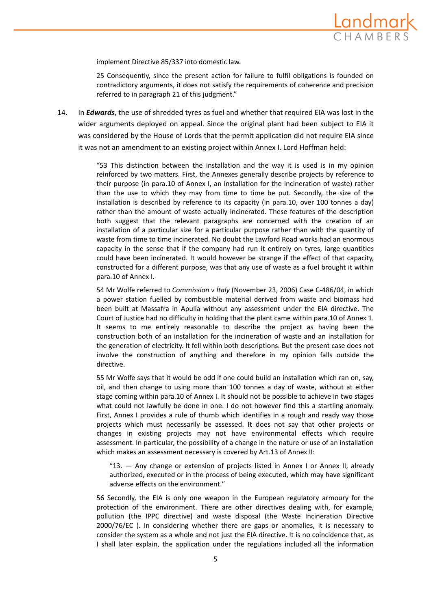

implement Directive 85/337 into domestic law.

25 Consequently, since the present action for failure to fulfil obligations is founded on contradictory arguments, it does not satisfy the requirements of coherence and precision referred to in paragraph 21 of this judgment."

14. In *Edwards*, the use of shredded tyres as fuel and whether that required EIA was lost in the wider arguments deployed on appeal. Since the original plant had been subject to EIA it was considered by the House of Lords that the permit application did not require EIA since it was not an amendment to an existing project within Annex I. Lord Hoffman held:

> "53 This distinction between the installation and the way it is used is in my opinion reinforced by two matters. First, the Annexes generally describe projects by reference to their purpose (in para.10 of Annex I, an installation for the incineration of waste) rather than the use to which they may from time to time be put. Secondly, the size of the installation is described by reference to its capacity (in para.10, over 100 tonnes a day) rather than the amount of waste actually incinerated. These features of the description both suggest that the relevant paragraphs are concerned with the creation of an installation of a particular size for a particular purpose rather than with the quantity of waste from time to time incinerated. No doubt the Lawford Road works had an enormous capacity in the sense that if the company had run it entirely on tyres, large quantities could have been incinerated. It would however be strange if the effect of that capacity, constructed for a different purpose, was that any use of waste as a fuel brought it within para.10 of Annex I.

> 54 Mr Wolfe referred to *Commission v Italy* (November 23, 2006) Case C‐486/04, in which a power station fuelled by combustible material derived from waste and biomass had been built at Massafra in Apulia without any assessment under the EIA directive. The Court of Justice had no difficulty in holding that the plant came within para.10 of Annex 1. It seems to me entirely reasonable to describe the project as having been the construction both of an installation for the incineration of waste and an installation for the generation of electricity. It fell within both descriptions. But the present case does not involve the construction of anything and therefore in my opinion falls outside the directive.

> 55 Mr Wolfe says that it would be odd if one could build an installation which ran on, say, oil, and then change to using more than 100 tonnes a day of waste, without at either stage coming within para.10 of Annex I. It should not be possible to achieve in two stages what could not lawfully be done in one. I do not however find this a startling anomaly. First, Annex I provides a rule of thumb which identifies in a rough and ready way those projects which must necessarily be assessed. It does not say that other projects or changes in existing projects may not have environmental effects which require assessment. In particular, the possibility of a change in the nature or use of an installation which makes an assessment necessary is covered by Art.13 of Annex II:

"13. — Any change or extension of projects listed in Annex I or Annex II, already authorized, executed or in the process of being executed, which may have significant adverse effects on the environment."

56 Secondly, the EIA is only one weapon in the European regulatory armoury for the protection of the environment. There are other directives dealing with, for example, pollution (the IPPC directive) and waste disposal (the Waste Incineration Directive 2000/76/EC ). In considering whether there are gaps or anomalies, it is necessary to consider the system as a whole and not just the EIA directive. It is no coincidence that, as I shall later explain, the application under the regulations included all the information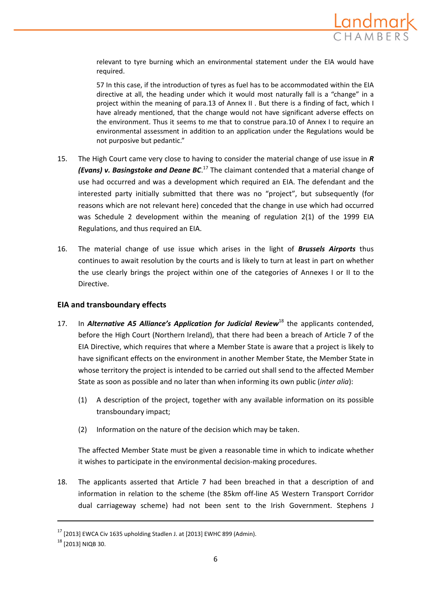

relevant to tyre burning which an environmental statement under the EIA would have required.

57 In this case, if the introduction of tyres as fuel has to be accommodated within the EIA directive at all, the heading under which it would most naturally fall is a "change" in a project within the meaning of para.13 of Annex II . But there is a finding of fact, which I have already mentioned, that the change would not have significant adverse effects on the environment. Thus it seems to me that to construe para.10 of Annex I to require an environmental assessment in addition to an application under the Regulations would be not purposive but pedantic."

- 15. The High Court came very close to having to consider the material change of use issue in *R (Evans) v. Basingstoke and Deane BC*. <sup>17</sup> The claimant contended that a material change of use had occurred and was a development which required an EIA. The defendant and the interested party initially submitted that there was no "project", but subsequently (for reasons which are not relevant here) conceded that the change in use which had occurred was Schedule 2 development within the meaning of regulation 2(1) of the 1999 EIA Regulations, and thus required an EIA.
- 16. The material change of use issue which arises in the light of *Brussels Airports* thus continues to await resolution by the courts and is likely to turn at least in part on whether the use clearly brings the project within one of the categories of Annexes I or II to the Directive.

#### **EIA and transboundary effects**

- 17. In *Alternative A5 Alliance's Application for Judicial Review*<sup>18</sup> the applicants contended, before the High Court (Northern Ireland), that there had been a breach of Article 7 of the EIA Directive, which requires that where a Member State is aware that a project is likely to have significant effects on the environment in another Member State, the Member State in whose territory the project is intended to be carried out shall send to the affected Member State as soon as possible and no later than when informing its own public (*inter alia*):
	- (1) A description of the project, together with any available information on its possible transboundary impact;
	- (2) Information on the nature of the decision which may be taken.

The affected Member State must be given a reasonable time in which to indicate whether it wishes to participate in the environmental decision‐making procedures.

18. The applicants asserted that Article 7 had been breached in that a description of and information in relation to the scheme (the 85km off‐line A5 Western Transport Corridor dual carriageway scheme) had not been sent to the Irish Government. Stephens J

 $17$  [2013] EWCA Civ 1635 upholding Stadlen J. at [2013] EWHC 899 (Admin).

<sup>18</sup> [2013] NIQB 30.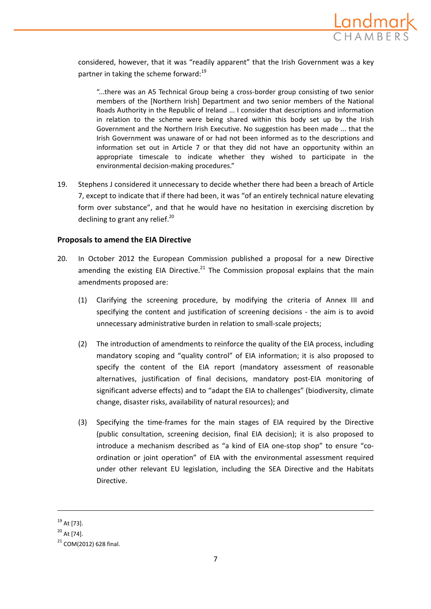

considered, however, that it was "readily apparent" that the Irish Government was a key partner in taking the scheme forward:<sup>19</sup>

"...there was an A5 Technical Group being a cross‐border group consisting of two senior members of the [Northern Irish] Department and two senior members of the National Roads Authority in the Republic of Ireland ... I consider that descriptions and information in relation to the scheme were being shared within this body set up by the Irish Government and the Northern Irish Executive. No suggestion has been made ... that the Irish Government was unaware of or had not been informed as to the descriptions and information set out in Article 7 or that they did not have an opportunity within an appropriate timescale to indicate whether they wished to participate in the environmental decision‐making procedures."

19. Stephens J considered it unnecessary to decide whether there had been a breach of Article 7, except to indicate that if there had been, it was "of an entirely technical nature elevating form over substance", and that he would have no hesitation in exercising discretion by declining to grant any relief. $^{20}$ 

## **Proposals to amend the EIA Directive**

- 20. In October 2012 the European Commission published a proposal for a new Directive amending the existing EIA Directive.<sup>21</sup> The Commission proposal explains that the main amendments proposed are:
	- (1) Clarifying the screening procedure, by modifying the criteria of Annex III and specifying the content and justification of screening decisions - the aim is to avoid unnecessary administrative burden in relation to small‐scale projects;
	- (2) The introduction of amendments to reinforce the quality of the EIA process, including mandatory scoping and "quality control" of EIA information; it is also proposed to specify the content of the EIA report (mandatory assessment of reasonable alternatives, justification of final decisions, mandatory post‐EIA monitoring of significant adverse effects) and to "adapt the EIA to challenges" (biodiversity, climate change, disaster risks, availability of natural resources); and
	- (3) Specifying the time‐frames for the main stages of EIA required by the Directive (public consultation, screening decision, final EIA decision); it is also proposed to introduce a mechanism described as "a kind of EIA one-stop shop" to ensure "coordination or joint operation" of EIA with the environmental assessment required under other relevant EU legislation, including the SEA Directive and the Habitats Directive.

 $19$  At [73].

 $^{20}$  At [74].

 $21$  COM(2012) 628 final.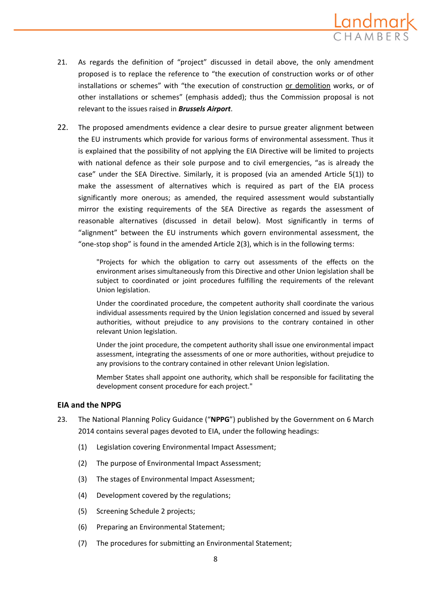

- 21. As regards the definition of "project" discussed in detail above, the only amendment proposed is to replace the reference to "the execution of construction works or of other installations or schemes" with "the execution of construction or demolition works, or of other installations or schemes" (emphasis added); thus the Commission proposal is not relevant to the issues raised in *Brussels Airport*.
- 22. The proposed amendments evidence a clear desire to pursue greater alignment between the EU instruments which provide for various forms of environmental assessment. Thus it is explained that the possibility of not applying the EIA Directive will be limited to projects with national defence as their sole purpose and to civil emergencies, "as is already the case" under the SEA Directive. Similarly, it is proposed (via an amended Article 5(1)) to make the assessment of alternatives which is required as part of the EIA process significantly more onerous; as amended, the required assessment would substantially mirror the existing requirements of the SEA Directive as regards the assessment of reasonable alternatives (discussed in detail below). Most significantly in terms of "alignment" between the EU instruments which govern environmental assessment, the "one‐stop shop" is found in the amended Article 2(3), which is in the following terms:

"Projects for which the obligation to carry out assessments of the effects on the environment arises simultaneously from this Directive and other Union legislation shall be subject to coordinated or joint procedures fulfilling the requirements of the relevant Union legislation.

Under the coordinated procedure, the competent authority shall coordinate the various individual assessments required by the Union legislation concerned and issued by several authorities, without prejudice to any provisions to the contrary contained in other relevant Union legislation.

Under the joint procedure, the competent authority shall issue one environmental impact assessment, integrating the assessments of one or more authorities, without prejudice to any provisions to the contrary contained in other relevant Union legislation.

Member States shall appoint one authority, which shall be responsible for facilitating the development consent procedure for each project."

#### **EIA and the NPPG**

- 23. The National Planning Policy Guidance ("**NPPG**") published by the Government on 6 March 2014 contains several pages devoted to EIA, under the following headings:
	- (1) Legislation covering Environmental Impact Assessment;
	- (2) The purpose of Environmental Impact Assessment;
	- (3) The stages of Environmental Impact Assessment;
	- (4) Development covered by the regulations;
	- (5) Screening Schedule 2 projects;
	- (6) Preparing an Environmental Statement;
	- (7) The procedures for submitting an Environmental Statement;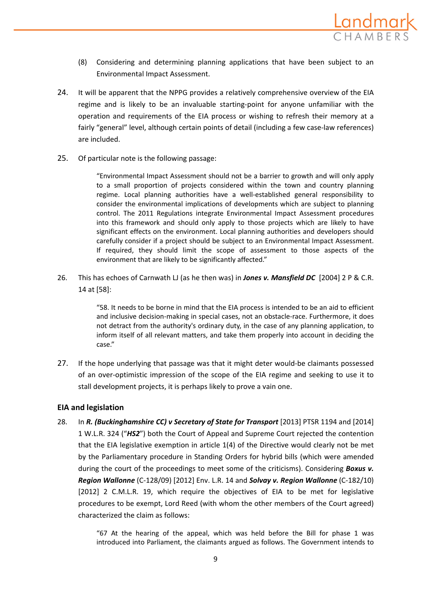

- (8) Considering and determining planning applications that have been subject to an Environmental Impact Assessment.
- 24. It will be apparent that the NPPG provides a relatively comprehensive overview of the EIA regime and is likely to be an invaluable starting-point for anyone unfamiliar with the operation and requirements of the EIA process or wishing to refresh their memory at a fairly "general" level, although certain points of detail (including a few case-law references) are included.
- 25. Of particular note is the following passage:

"Environmental Impact Assessment should not be a barrier to growth and will only apply to a small proportion of projects considered within the town and country planning regime. Local planning authorities have a well‐established general responsibility to consider the environmental implications of developments which are subject to planning control. The 2011 Regulations integrate Environmental Impact Assessment procedures into this framework and should only apply to those projects which are likely to have significant effects on the environment. Local planning authorities and developers should carefully consider if a project should be subject to an Environmental Impact Assessment. If required, they should limit the scope of assessment to those aspects of the environment that are likely to be significantly affected."

26. This has echoes of Carnwath LJ (as he then was) in *Jones v. Mansfield DC* [2004] 2 P & C.R. 14 at [58]:

> "58. It needs to be borne in mind that the EIA process is intended to be an aid to efficient and inclusive decision-making in special cases, not an obstacle-race. Furthermore, it does not detract from the authority's ordinary duty, in the case of any planning application, to inform itself of all relevant matters, and take them properly into account in deciding the case."

27. If the hope underlying that passage was that it might deter would-be claimants possessed of an over‐optimistic impression of the scope of the EIA regime and seeking to use it to stall development projects, it is perhaps likely to prove a vain one.

# **EIA and legislation**

28. In *R. (Buckinghamshire CC) v Secretary of State for Transport* [2013] PTSR 1194 and [2014] 1 W.L.R. 324 ("*HS2*") both the Court of Appeal and Supreme Court rejected the contention that the EIA legislative exemption in article 1(4) of the Directive would clearly not be met by the Parliamentary procedure in Standing Orders for hybrid bills (which were amended during the court of the proceedings to meet some of the criticisms). Considering *Boxus v. Region Wallonne* (C‐128/09) [2012] Env. L.R. 14 and *Solvay v. Region Wallonne* (C‐182/10) [2012] 2 C.M.L.R. 19, which require the objectives of EIA to be met for legislative procedures to be exempt, Lord Reed (with whom the other members of the Court agreed) characterized the claim as follows:

> "67 At the hearing of the appeal, which was held before the Bill for phase 1 was introduced into Parliament, the claimants argued as follows. The Government intends to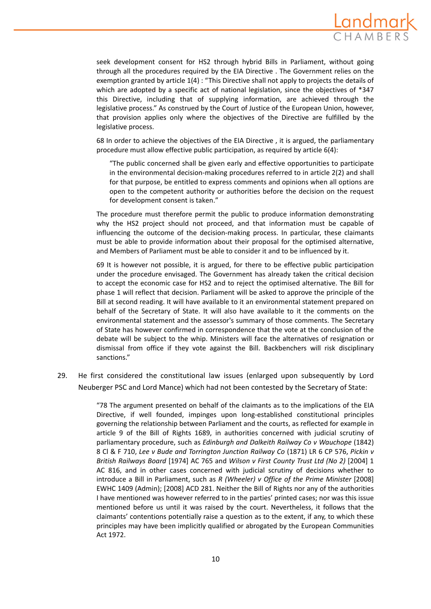

seek development consent for HS2 through hybrid Bills in Parliament, without going through all the procedures required by the EIA Directive . The Government relies on the exemption granted by article 1(4) : "This Directive shall not apply to projects the details of which are adopted by a specific act of national legislation, since the objectives of \*347 this Directive, including that of supplying information, are achieved through the legislative process." As construed by the Court of Justice of the European Union, however, that provision applies only where the objectives of the Directive are fulfilled by the legislative process.

68 In order to achieve the objectives of the EIA Directive , it is argued, the parliamentary procedure must allow effective public participation, as required by article 6(4):

"The public concerned shall be given early and effective opportunities to participate in the environmental decision-making procedures referred to in article 2(2) and shall for that purpose, be entitled to express comments and opinions when all options are open to the competent authority or authorities before the decision on the request for development consent is taken."

The procedure must therefore permit the public to produce information demonstrating why the HS2 project should not proceed, and that information must be capable of influencing the outcome of the decision-making process. In particular, these claimants must be able to provide information about their proposal for the optimised alternative, and Members of Parliament must be able to consider it and to be influenced by it.

69 It is however not possible, it is argued, for there to be effective public participation under the procedure envisaged. The Government has already taken the critical decision to accept the economic case for HS2 and to reject the optimised alternative. The Bill for phase 1 will reflect that decision. Parliament will be asked to approve the principle of the Bill at second reading. It will have available to it an environmental statement prepared on behalf of the Secretary of State. It will also have available to it the comments on the environmental statement and the assessor's summary of those comments. The Secretary of State has however confirmed in correspondence that the vote at the conclusion of the debate will be subject to the whip. Ministers will face the alternatives of resignation or dismissal from office if they vote against the Bill. Backbenchers will risk disciplinary sanctions."

29. He first considered the constitutional law issues (enlarged upon subsequently by Lord Neuberger PSC and Lord Mance) which had not been contested by the Secretary of State:

> "78 The argument presented on behalf of the claimants as to the implications of the EIA Directive, if well founded, impinges upon long‐established constitutional principles governing the relationship between Parliament and the courts, as reflected for example in article 9 of the Bill of Rights 1689, in authorities concerned with judicial scrutiny of parliamentary procedure, such as *Edinburgh and Dalkeith Railway Co v Wauchope* (1842) 8 Cl & F 710, *Lee v Bude and Torrington Junction Railway Co* (1871) LR 6 CP 576, *Pickin v British Railways Board* [1974] AC 765 and *Wilson v First County Trust Ltd (No 2)* [2004] 1 AC 816, and in other cases concerned with judicial scrutiny of decisions whether to introduce a Bill in Parliament, such as *R (Wheeler) v Office of the Prime Minister* [2008] EWHC 1409 (Admin); [2008] ACD 281. Neither the Bill of Rights nor any of the authorities I have mentioned was however referred to in the parties' printed cases; nor was this issue mentioned before us until it was raised by the court. Nevertheless, it follows that the claimants' contentions potentially raise a question as to the extent, if any, to which these principles may have been implicitly qualified or abrogated by the European Communities Act 1972.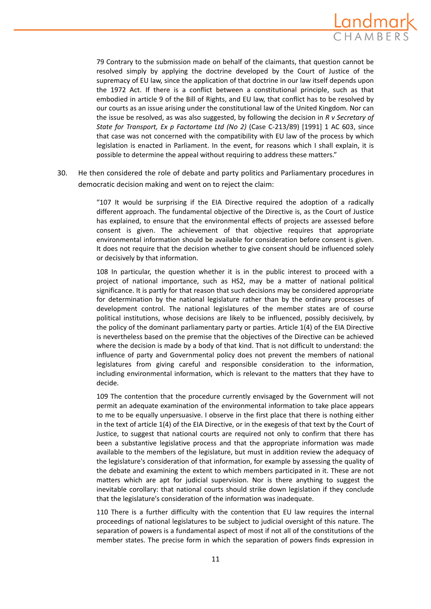

79 Contrary to the submission made on behalf of the claimants, that question cannot be resolved simply by applying the doctrine developed by the Court of Justice of the supremacy of EU law, since the application of that doctrine in our law itself depends upon the 1972 Act. If there is a conflict between a constitutional principle, such as that embodied in article 9 of the Bill of Rights, and EU law, that conflict has to be resolved by our courts as an issue arising under the constitutional law of the United Kingdom. Nor can the issue be resolved, as was also suggested, by following the decision in *R v Secretary of State for Transport, Ex p Factortame Ltd (No 2)* (Case C‐213/89) [1991] 1 AC 603, since that case was not concerned with the compatibility with EU law of the process by which legislation is enacted in Parliament. In the event, for reasons which I shall explain, it is possible to determine the appeal without requiring to address these matters."

30. He then considered the role of debate and party politics and Parliamentary procedures in democratic decision making and went on to reject the claim:

> "107 It would be surprising if the EIA Directive required the adoption of a radically different approach. The fundamental objective of the Directive is, as the Court of Justice has explained, to ensure that the environmental effects of projects are assessed before consent is given. The achievement of that objective requires that appropriate environmental information should be available for consideration before consent is given. It does not require that the decision whether to give consent should be influenced solely or decisively by that information.

> 108 In particular, the question whether it is in the public interest to proceed with a project of national importance, such as HS2, may be a matter of national political significance. It is partly for that reason that such decisions may be considered appropriate for determination by the national legislature rather than by the ordinary processes of development control. The national legislatures of the member states are of course political institutions, whose decisions are likely to be influenced, possibly decisively, by the policy of the dominant parliamentary party or parties. Article 1(4) of the EIA Directive is nevertheless based on the premise that the objectives of the Directive can be achieved where the decision is made by a body of that kind. That is not difficult to understand: the influence of party and Governmental policy does not prevent the members of national legislatures from giving careful and responsible consideration to the information, including environmental information, which is relevant to the matters that they have to decide.

> 109 The contention that the procedure currently envisaged by the Government will not permit an adequate examination of the environmental information to take place appears to me to be equally unpersuasive. I observe in the first place that there is nothing either in the text of article 1(4) of the EIA Directive, or in the exegesis of that text by the Court of Justice, to suggest that national courts are required not only to confirm that there has been a substantive legislative process and that the appropriate information was made available to the members of the legislature, but must in addition review the adequacy of the legislature's consideration of that information, for example by assessing the quality of the debate and examining the extent to which members participated in it. These are not matters which are apt for judicial supervision. Nor is there anything to suggest the inevitable corollary: that national courts should strike down legislation if they conclude that the legislature's consideration of the information was inadequate.

> 110 There is a further difficulty with the contention that EU law requires the internal proceedings of national legislatures to be subject to judicial oversight of this nature. The separation of powers is a fundamental aspect of most if not all of the constitutions of the member states. The precise form in which the separation of powers finds expression in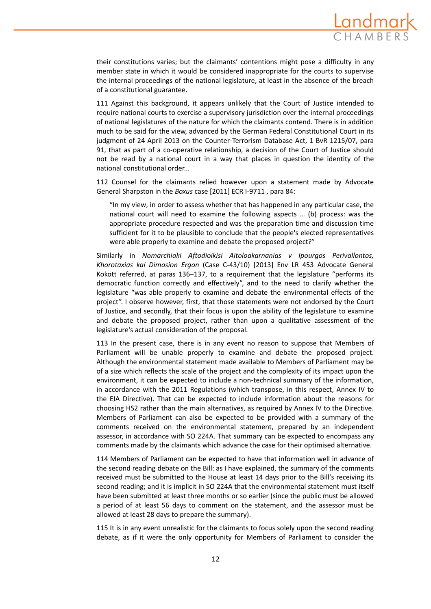

their constitutions varies; but the claimants' contentions might pose a difficulty in any member state in which it would be considered inappropriate for the courts to supervise the internal proceedings of the national legislature, at least in the absence of the breach of a constitutional guarantee.

111 Against this background, it appears unlikely that the Court of Justice intended to require national courts to exercise a supervisory jurisdiction over the internal proceedings of national legislatures of the nature for which the claimants contend. There is in addition much to be said for the view, advanced by the German Federal Constitutional Court in its judgment of 24 April 2013 on the Counter-Terrorism Database Act, 1 BvR 1215/07, para 91, that as part of a co-operative relationship, a decision of the Court of Justice should not be read by a national court in a way that places in question the identity of the national constitutional order...

112 Counsel for the claimants relied however upon a statement made by Advocate General Sharpston in the *Boxus* case [2011] ECR I‐9711 , para 84:

"In my view, in order to assess whether that has happened in any particular case, the national court will need to examine the following aspects … (b) process: was the appropriate procedure respected and was the preparation time and discussion time sufficient for it to be plausible to conclude that the people's elected representatives were able properly to examine and debate the proposed project?"

Similarly in *Nomarchiaki Aftodioikisi Aitoloakarnanias v Ipourgos Perivallontos, Khorotaxias kai Dimosion Ergon* (Case C‐43/10) [2013] Env LR 453 Advocate General Kokott referred, at paras 136–137, to a requirement that the legislature "performs its democratic function correctly and effectively", and to the need to clarify whether the legislature "was able properly to examine and debate the environmental effects of the project". I observe however, first, that those statements were not endorsed by the Court of Justice, and secondly, that their focus is upon the ability of the legislature to examine and debate the proposed project, rather than upon a qualitative assessment of the legislature's actual consideration of the proposal.

113 In the present case, there is in any event no reason to suppose that Members of Parliament will be unable properly to examine and debate the proposed project. Although the environmental statement made available to Members of Parliament may be of a size which reflects the scale of the project and the complexity of its impact upon the environment, it can be expected to include a non-technical summary of the information, in accordance with the 2011 Regulations (which transpose, in this respect, Annex IV to the EIA Directive). That can be expected to include information about the reasons for choosing HS2 rather than the main alternatives, as required by Annex IV to the Directive. Members of Parliament can also be expected to be provided with a summary of the comments received on the environmental statement, prepared by an independent assessor, in accordance with SO 224A. That summary can be expected to encompass any comments made by the claimants which advance the case for their optimised alternative.

114 Members of Parliament can be expected to have that information well in advance of the second reading debate on the Bill: as I have explained, the summary of the comments received must be submitted to the House at least 14 days prior to the Bill's receiving its second reading; and it is implicit in SO 224A that the environmental statement must itself have been submitted at least three months or so earlier (since the public must be allowed a period of at least 56 days to comment on the statement, and the assessor must be allowed at least 28 days to prepare the summary).

115 It is in any event unrealistic for the claimants to focus solely upon the second reading debate, as if it were the only opportunity for Members of Parliament to consider the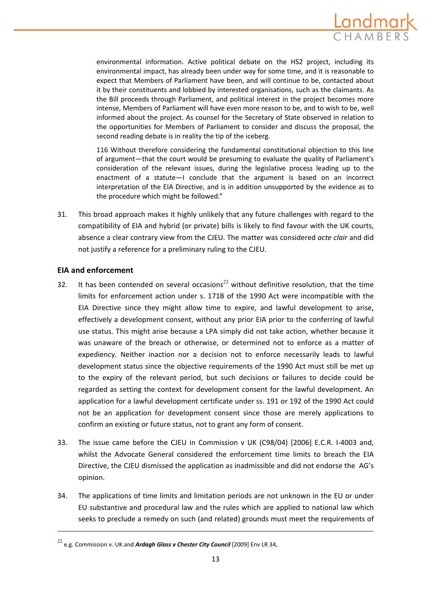

environmental information. Active political debate on the HS2 project, including its environmental impact, has already been under way for some time, and it is reasonable to expect that Members of Parliament have been, and will continue to be, contacted about it by their constituents and lobbied by interested organisations, such as the claimants. As the Bill proceeds through Parliament, and political interest in the project becomes more intense, Members of Parliament will have even more reason to be, and to wish to be, well informed about the project. As counsel for the Secretary of State observed in relation to the opportunities for Members of Parliament to consider and discuss the proposal, the second reading debate is in reality the tip of the iceberg.

116 Without therefore considering the fundamental constitutional objection to this line of argument—that the court would be presuming to evaluate the quality of Parliament's consideration of the relevant issues, during the legislative process leading up to the enactment of a statute—I conclude that the argument is based on an incorrect interpretation of the EIA Directive, and is in addition unsupported by the evidence as to the procedure which might be followed."

31. This broad approach makes it highly unlikely that any future challenges with regard to the compatibility of EIA and hybrid (or private) bills is likely to find favour with the UK courts, absence a clear contrary view from the CJEU. The matter was considered *acte clair* and did not justify a reference for a preliminary ruling to the CJEU.

## **EIA and enforcement**

- 32. It has been contended on several occasions<sup>22</sup> without definitive resolution, that the time limits for enforcement action under s. 171B of the 1990 Act were incompatible with the EIA Directive since they might allow time to expire, and lawful development to arise, effectively a development consent, without any prior EIA prior to the conferring of lawful use status. This might arise because a LPA simply did not take action, whether because it was unaware of the breach or otherwise, or determined not to enforce as a matter of expediency. Neither inaction nor a decision not to enforce necessarily leads to lawful development status since the objective requirements of the 1990 Act must still be met up to the expiry of the relevant period, but such decisions or failures to decide could be regarded as setting the context for development consent for the lawful development. An application for a lawful development certificate under ss. 191 or 192 of the 1990 Act could not be an application for development consent since those are merely applications to confirm an existing or future status, not to grant any form of consent.
- 33. The issue came before the CJEU in Commission v UK (C98/04) [2006] E.C.R. I‐4003 and, whilst the Advocate General considered the enforcement time limits to breach the EIA Directive, the CJEU dismissed the application as inadmissible and did not endorse the AG's opinion.
- 34. The applications of time limits and limitation periods are not unknown in the EU or under EU substantive and procedural law and the rules which are applied to national law which seeks to preclude a remedy on such (and related) grounds must meet the requirements of

<sup>22</sup> e.g. Commission v. UK and *Ardagh Glass v Chester City Council* [2009] Env LR 34,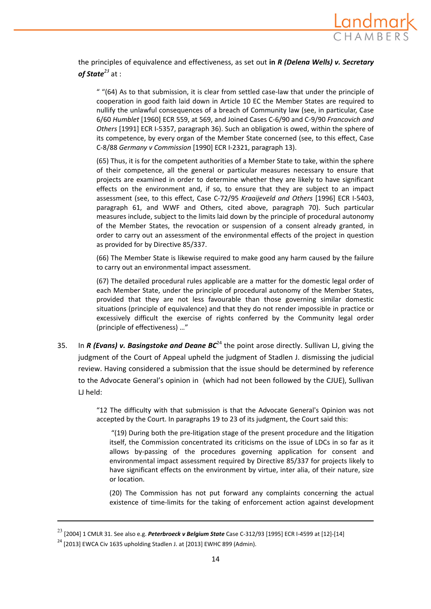

the principles of equivalence and effectiveness, as set out **in** *R (Delena Wells) v. Secretary of State<sup>23</sup>* at :

" "(64) As to that submission, it is clear from settled case‐law that under the principle of cooperation in good faith laid down in Article 10 EC the Member States are required to nullify the unlawful consequences of a breach of Community law (see, in particular, Case 6/60 *Humblet* [1960] ECR 559, at 569, and Joined Cases C‐6/90 and C‐9/90 *Francovich and Others* [1991] ECR I‐5357, paragraph 36). Such an obligation is owed, within the sphere of its competence, by every organ of the Member State concerned (see, to this effect, Case C‐8/88 *Germany v Commission* [1990] ECR I‐2321, paragraph 13).

(65) Thus, it is for the competent authorities of a Member State to take, within the sphere of their competence, all the general or particular measures necessary to ensure that projects are examined in order to determine whether they are likely to have significant effects on the environment and, if so, to ensure that they are subject to an impact assessment (see, to this effect, Case C‐72/95 *Kraaijeveld and Others* [1996] ECR I‐5403, paragraph 61, and WWF and Others, cited above, paragraph 70). Such particular measures include, subject to the limits laid down by the principle of procedural autonomy of the Member States, the revocation or suspension of a consent already granted, in order to carry out an assessment of the environmental effects of the project in question as provided for by Directive 85/337.

(66) The Member State is likewise required to make good any harm caused by the failure to carry out an environmental impact assessment.

(67) The detailed procedural rules applicable are a matter for the domestic legal order of each Member State, under the principle of procedural autonomy of the Member States, provided that they are not less favourable than those governing similar domestic situations (principle of equivalence) and that they do not render impossible in practice or excessively difficult the exercise of rights conferred by the Community legal order (principle of effectiveness) …"

35. In *R (Evans) v. Basingstoke and Deane BC*<sup>24</sup> the point arose directly. Sullivan LJ, giving the judgment of the Court of Appeal upheld the judgment of Stadlen J. dismissing the judicial review. Having considered a submission that the issue should be determined by reference to the Advocate General's opinion in (which had not been followed by the CJUE), Sullivan LJ held:

> "12 The difficulty with that submission is that the Advocate General's Opinion was not accepted by the Court. In paragraphs 19 to 23 of its judgment, the Court said this:

"(19) During both the pre‐litigation stage of the present procedure and the litigation itself, the Commission concentrated its criticisms on the issue of LDCs in so far as it allows by‐passing of the procedures governing application for consent and environmental impact assessment required by Directive 85/337 for projects likely to have significant effects on the environment by virtue, inter alia, of their nature, size or location.

(20) The Commission has not put forward any complaints concerning the actual existence of time‐limits for the taking of enforcement action against development

<sup>23</sup> [2004] <sup>1</sup> CMLR 31. See also e.g. *Peterbroeck <sup>v</sup> Belgium State* Case <sup>C</sup>‐312/93 [1995] ECR <sup>I</sup>‐<sup>4599</sup> at [12]‐[14]

<sup>&</sup>lt;sup>24</sup> [2013] EWCA Civ 1635 upholding Stadlen J. at [2013] EWHC 899 (Admin).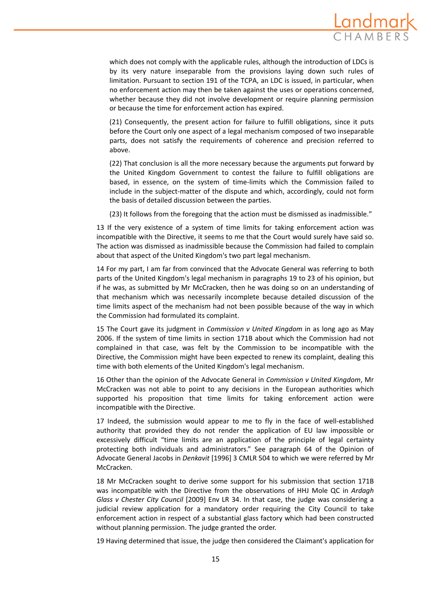

which does not comply with the applicable rules, although the introduction of LDCs is by its very nature inseparable from the provisions laying down such rules of limitation. Pursuant to section 191 of the TCPA, an LDC is issued, in particular, when no enforcement action may then be taken against the uses or operations concerned, whether because they did not involve development or require planning permission or because the time for enforcement action has expired.

(21) Consequently, the present action for failure to fulfill obligations, since it puts before the Court only one aspect of a legal mechanism composed of two inseparable parts, does not satisfy the requirements of coherence and precision referred to above.

(22) That conclusion is all the more necessary because the arguments put forward by the United Kingdom Government to contest the failure to fulfill obligations are based, in essence, on the system of time‐limits which the Commission failed to include in the subject-matter of the dispute and which, accordingly, could not form the basis of detailed discussion between the parties.

(23) It follows from the foregoing that the action must be dismissed as inadmissible."

13 If the very existence of a system of time limits for taking enforcement action was incompatible with the Directive, it seems to me that the Court would surely have said so. The action was dismissed as inadmissible because the Commission had failed to complain about that aspect of the United Kingdom's two part legal mechanism.

14 For my part, I am far from convinced that the Advocate General was referring to both parts of the United Kingdom's legal mechanism in paragraphs 19 to 23 of his opinion, but if he was, as submitted by Mr McCracken, then he was doing so on an understanding of that mechanism which was necessarily incomplete because detailed discussion of the time limits aspect of the mechanism had not been possible because of the way in which the Commission had formulated its complaint.

15 The Court gave its judgment in *Commission v United Kingdom* in as long ago as May 2006. If the system of time limits in section 171B about which the Commission had not complained in that case, was felt by the Commission to be incompatible with the Directive, the Commission might have been expected to renew its complaint, dealing this time with both elements of the United Kingdom's legal mechanism.

16 Other than the opinion of the Advocate General in *Commission v United Kingdom*, Mr McCracken was not able to point to any decisions in the European authorities which supported his proposition that time limits for taking enforcement action were incompatible with the Directive.

17 Indeed, the submission would appear to me to fly in the face of well‐established authority that provided they do not render the application of EU law impossible or excessively difficult "time limits are an application of the principle of legal certainty protecting both individuals and administrators." See paragraph 64 of the Opinion of Advocate General Jacobs in *Denkavit* [1996] 3 CMLR 504 to which we were referred by Mr McCracken.

18 Mr McCracken sought to derive some support for his submission that section 171B was incompatible with the Directive from the observations of HHJ Mole QC in *Ardagh Glass v Chester City Council* [2009] Env LR 34. In that case, the judge was considering a judicial review application for a mandatory order requiring the City Council to take enforcement action in respect of a substantial glass factory which had been constructed without planning permission. The judge granted the order.

19 Having determined that issue, the judge then considered the Claimant's application for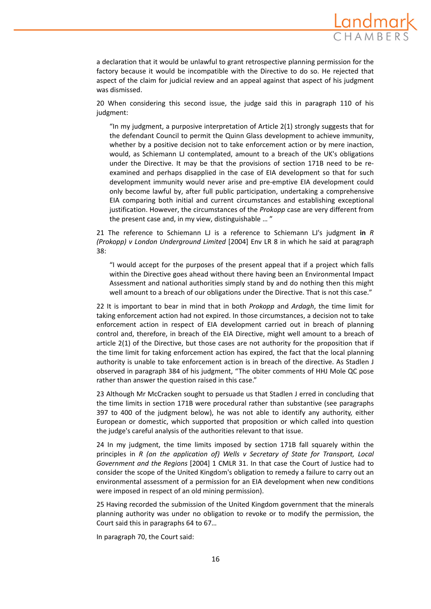

a declaration that it would be unlawful to grant retrospective planning permission for the factory because it would be incompatible with the Directive to do so. He rejected that aspect of the claim for judicial review and an appeal against that aspect of his judgment was dismissed.

20 When considering this second issue, the judge said this in paragraph 110 of his judgment:

"In my judgment, a purposive interpretation of Article 2(1) strongly suggests that for the defendant Council to permit the Quinn Glass development to achieve immunity, whether by a positive decision not to take enforcement action or by mere inaction, would, as Schiemann LJ contemplated, amount to a breach of the UK's obligations under the Directive. It may be that the provisions of section 171B need to be re‐ examined and perhaps disapplied in the case of EIA development so that for such development immunity would never arise and pre‐emptive EIA development could only become lawful by, after full public participation, undertaking a comprehensive EIA comparing both initial and current circumstances and establishing exceptional justification. However, the circumstances of the *Prokopp* case are very different from the present case and, in my view, distinguishable … "

21 The reference to Schiemann LJ is a reference to Schiemann LJ's judgment **in** *R (Prokopp) v London Underground Limited* [2004] Env LR 8 in which he said at paragraph 38:

"I would accept for the purposes of the present appeal that if a project which falls within the Directive goes ahead without there having been an Environmental Impact Assessment and national authorities simply stand by and do nothing then this might well amount to a breach of our obligations under the Directive. That is not this case."

22 It is important to bear in mind that in both *Prokopp* and *Ardagh*, the time limit for taking enforcement action had not expired. In those circumstances, a decision not to take enforcement action in respect of EIA development carried out in breach of planning control and, therefore, in breach of the EIA Directive, might well amount to a breach of article 2(1) of the Directive, but those cases are not authority for the proposition that if the time limit for taking enforcement action has expired, the fact that the local planning authority is unable to take enforcement action is in breach of the directive. As Stadlen J observed in paragraph 384 of his judgment, "The obiter comments of HHJ Mole QC pose rather than answer the question raised in this case."

23 Although Mr McCracken sought to persuade us that Stadlen J erred in concluding that the time limits in section 171B were procedural rather than substantive (see paragraphs 397 to 400 of the judgment below), he was not able to identify any authority, either European or domestic, which supported that proposition or which called into question the judge's careful analysis of the authorities relevant to that issue.

24 In my judgment, the time limits imposed by section 171B fall squarely within the principles in *R (on the application of) Wells v Secretary of State for Transport, Local Government and the Regions* [2004] 1 CMLR 31. In that case the Court of Justice had to consider the scope of the United Kingdom's obligation to remedy a failure to carry out an environmental assessment of a permission for an EIA development when new conditions were imposed in respect of an old mining permission).

25 Having recorded the submission of the United Kingdom government that the minerals planning authority was under no obligation to revoke or to modify the permission, the Court said this in paragraphs 64 to 67…

In paragraph 70, the Court said: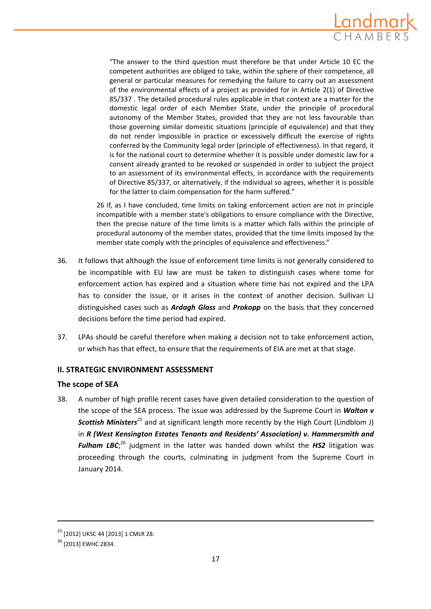

"The answer to the third question must therefore be that under Article 10 EC the competent authorities are obliged to take, within the sphere of their competence, all general or particular measures for remedying the failure to carry out an assessment of the environmental effects of a project as provided for in Article 2(1) of Directive 85/337 . The detailed procedural rules applicable in that context are a matter for the domestic legal order of each Member State, under the principle of procedural autonomy of the Member States, provided that they are not less favourable than those governing similar domestic situations (principle of equivalence) and that they do not render impossible in practice or excessively difficult the exercise of rights conferred by the Community legal order (principle of effectiveness). In that regard, it is for the national court to determine whether it is possible under domestic law for a consent already granted to be revoked or suspended in order to subject the project to an assessment of its environmental effects, in accordance with the requirements of Directive 85/337, or alternatively, if the individual so agrees, whether it is possible for the latter to claim compensation for the harm suffered."

26 If, as I have concluded, time limits on taking enforcement action are not in principle incompatible with a member state's obligations to ensure compliance with the Directive, then the precise nature of the time limits is a matter which falls within the principle of procedural autonomy of the member states, provided that the time limits imposed by the member state comply with the principles of equivalence and effectiveness."

- 36. It follows that although the issue of enforcement time limits is not generally considered to be incompatible with EU law are must be taken to distinguish cases where tome for enforcement action has expired and a situation where time has not expired and the LPA has to consider the issue, or it arises in the context of another decision. Sullivan LJ distinguished cases such as *Ardagh Glass* and *Prokopp* on the basis that they concerned decisions before the time period had expired.
- 37. LPAs should be careful therefore when making a decision not to take enforcement action, or which has that effect, to ensure that the requirements of EIA are met at that stage.

# **II. STRATEGIC ENVIRONMENT ASSESSMENT**

# **The scope of SEA**

38. A number of high profile recent cases have given detailed consideration to the question of the scope of the SEA process. The issue was addressed by the Supreme Court in *Walton v* **Scottish Ministers**<sup>25</sup> and at significant length more recently by the High Court (Lindblom J) in *R (West Kensington Estates Tenants and Residents' Association) v. Hammersmith and Fulham LBC*; <sup>26</sup> judgment in the latter was handed down whilst the *HS2* litigation was proceeding through the courts, culminating in judgment from the Supreme Court in January 2014.

<sup>25</sup> [2012] UKSC 44 [2013] 1 CMLR 28.

<sup>&</sup>lt;sup>26</sup> [2013] EWHC 2834.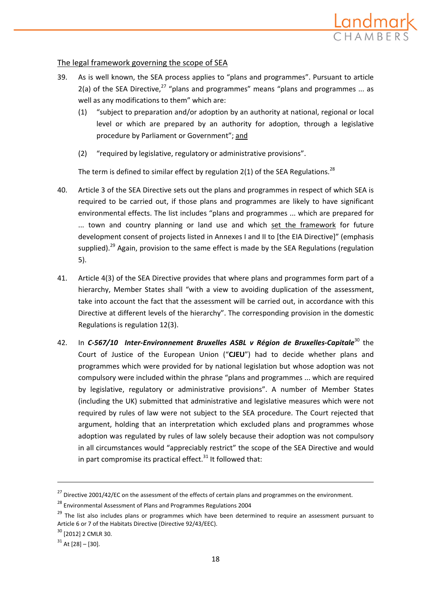

# The legal framework governing the scope of SEA

- 39. As is well known, the SEA process applies to "plans and programmes". Pursuant to article 2(a) of the SEA Directive,<sup>27</sup> "plans and programmes" means "plans and programmes ... as well as any modifications to them" which are:
	- (1) "subject to preparation and/or adoption by an authority at national, regional or local level or which are prepared by an authority for adoption, through a legislative procedure by Parliament or Government"; and
	- (2) "required by legislative, regulatory or administrative provisions".

The term is defined to similar effect by regulation  $2(1)$  of the SEA Regulations.<sup>28</sup>

- 40. Article 3 of the SEA Directive sets out the plans and programmes in respect of which SEA is required to be carried out, if those plans and programmes are likely to have significant environmental effects. The list includes "plans and programmes ... which are prepared for ... town and country planning or land use and which set the framework for future development consent of projects listed in Annexes I and II to [the EIA Directive]" (emphasis supplied).<sup>29</sup> Again, provision to the same effect is made by the SEA Regulations (regulation 5).
- 41. Article 4(3) of the SEA Directive provides that where plans and programmes form part of a hierarchy, Member States shall "with a view to avoiding duplication of the assessment, take into account the fact that the assessment will be carried out, in accordance with this Directive at different levels of the hierarchy". The corresponding provision in the domestic Regulations is regulation 12(3).
- 42. In *C‐567/10 Inter‐Environnement Bruxelles ASBL v Région de Bruxelles‐Capitale*<sup>30</sup> the Court of Justice of the European Union ("**CJEU**") had to decide whether plans and programmes which were provided for by national legislation but whose adoption was not compulsory were included within the phrase "plans and programmes ... which are required by legislative, regulatory or administrative provisions". A number of Member States (including the UK) submitted that administrative and legislative measures which were not required by rules of law were not subject to the SEA procedure. The Court rejected that argument, holding that an interpretation which excluded plans and programmes whose adoption was regulated by rules of law solely because their adoption was not compulsory in all circumstances would "appreciably restrict" the scope of the SEA Directive and would in part compromise its practical effect. $31$  It followed that:

<u> 1989 - Johann Stein, marwolaethau a bhann an chomhair an chomhair an chomhair an chomhair an chomhair an chom</u>

<sup>&</sup>lt;sup>27</sup> Directive 2001/42/EC on the assessment of the effects of certain plans and programmes on the environment.

 $^{28}$  Environmental Assessment of Plans and Programmes Regulations 2004

<sup>&</sup>lt;sup>29</sup> The list also includes plans or programmes which have been determined to require an assessment pursuant to Article 6 or 7 of the Habitats Directive (Directive 92/43/EEC).

<sup>30</sup> [2012] 2 CMLR 30.

 $31$  At [28] – [30].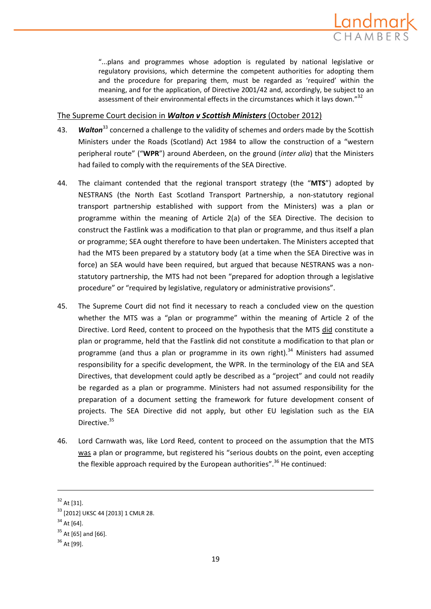

"...plans and programmes whose adoption is regulated by national legislative or regulatory provisions, which determine the competent authorities for adopting them and the procedure for preparing them, must be regarded as 'required' within the meaning, and for the application, of Directive 2001/42 and, accordingly, be subject to an assessment of their environmental effects in the circumstances which it lays down."<sup>32</sup>

## The Supreme Court decision in *Walton v Scottish Ministers* (October 2012)

- 43. **Walton**<sup>33</sup> concerned a challenge to the validity of schemes and orders made by the Scottish Ministers under the Roads (Scotland) Act 1984 to allow the construction of a "western peripheral route" ("**WPR**") around Aberdeen, on the ground (*inter alia*) that the Ministers had failed to comply with the requirements of the SEA Directive.
- 44. The claimant contended that the regional transport strategy (the "**MTS**") adopted by NESTRANS (the North East Scotland Transport Partnership, a non‐statutory regional transport partnership established with support from the Ministers) was a plan or programme within the meaning of Article 2(a) of the SEA Directive. The decision to construct the Fastlink was a modification to that plan or programme, and thus itself a plan or programme; SEA ought therefore to have been undertaken. The Ministers accepted that had the MTS been prepared by a statutory body (at a time when the SEA Directive was in force) an SEA would have been required, but argued that because NESTRANS was a nonstatutory partnership, the MTS had not been "prepared for adoption through a legislative procedure" or "required by legislative, regulatory or administrative provisions".
- 45. The Supreme Court did not find it necessary to reach a concluded view on the question whether the MTS was a "plan or programme" within the meaning of Article 2 of the Directive. Lord Reed, content to proceed on the hypothesis that the MTS did constitute a plan or programme, held that the Fastlink did not constitute a modification to that plan or programme (and thus a plan or programme in its own right).<sup>34</sup> Ministers had assumed responsibility for a specific development, the WPR. In the terminology of the EIA and SEA Directives, that development could aptly be described as a "project" and could not readily be regarded as a plan or programme. Ministers had not assumed responsibility for the preparation of a document setting the framework for future development consent of projects. The SEA Directive did not apply, but other EU legislation such as the EIA Directive.<sup>35</sup>
- 46. Lord Carnwath was, like Lord Reed, content to proceed on the assumption that the MTS was a plan or programme, but registered his "serious doubts on the point, even accepting the flexible approach required by the European authorities".<sup>36</sup> He continued:

 $32$  At [31].

<sup>33</sup> [2012] UKSC 44 [2013] 1 CMLR 28.

 $34$  At [64].

 $35$  At [65] and [66].

<sup>36</sup> At [99].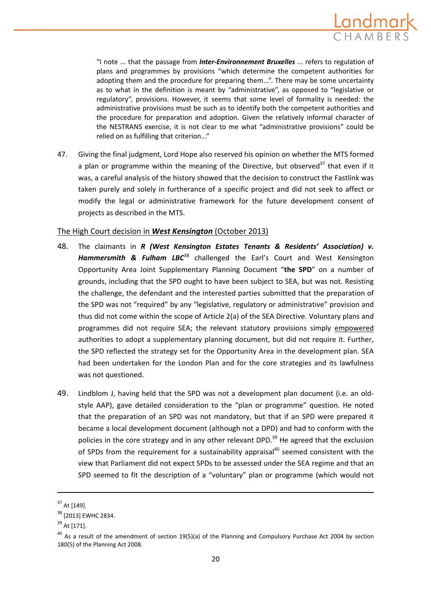

"I note ... that the passage from *Inter‐Environnement Bruxelles* ... refers to regulation of plans and programmes by provisions "which determine the competent authorities for adopting them and the procedure for preparing them...". There may be some uncertainty as to what in the definition is meant by "administrative", as opposed to "legislative or regulatory", provisions. However, it seems that some level of formality is needed: the administrative provisions must be such as to identify both the competent authorities and the procedure for preparation and adoption. Given the relatively informal character of the NESTRANS exercise, it is not clear to me what "administrative provisions" could be relied on as fulfilling that criterion..."

47. Giving the final judgment, Lord Hope also reserved his opinion on whether the MTS formed a plan or programme within the meaning of the Directive, but observed<sup>37</sup> that even if it was, a careful analysis of the history showed that the decision to construct the Fastlink was taken purely and solely in furtherance of a specific project and did not seek to affect or modify the legal or administrative framework for the future development consent of projects as described in the MTS.

## The High Court decision in *West Kensington* (October 2013)

- 48. The claimants in *R (West Kensington Estates Tenants & Residents' Association) v. Hammersmith & Fulham LBC*<sup>38</sup> challenged the Earl's Court and West Kensington Opportunity Area Joint Supplementary Planning Document "**the SPD**" on a number of grounds, including that the SPD ought to have been subject to SEA, but was not. Resisting the challenge, the defendant and the interested parties submitted that the preparation of the SPD was not "required" by any "legislative, regulatory or administrative" provision and thus did not come within the scope of Article 2(a) of the SEA Directive. Voluntary plans and programmes did not require SEA; the relevant statutory provisions simply empowered authorities to adopt a supplementary planning document, but did not require it. Further, the SPD reflected the strategy set for the Opportunity Area in the development plan. SEA had been undertaken for the London Plan and for the core strategies and its lawfulness was not questioned.
- 49. Lindblom J, having held that the SPD was not a development plan document (i.e. an old‐ style AAP), gave detailed consideration to the "plan or programme" question. He noted that the preparation of an SPD was not mandatory, but that if an SPD were prepared it became a local development document (although not a DPD) and had to conform with the policies in the core strategy and in any other relevant DPD.<sup>39</sup> He agreed that the exclusion of SPDs from the requirement for a sustainability appraisal<sup>40</sup> seemed consistent with the view that Parliament did not expect SPDs to be assessed under the SEA regime and that an SPD seemed to fit the description of a "voluntary" plan or programme (which would not

 $37$  At [149].

<sup>&</sup>lt;sup>38</sup> [2013] EWHC 2834.

<sup>39</sup> At [171].

<sup>&</sup>lt;sup>40</sup> As a result of the amendment of section 19(5)(a) of the Planning and Compulsory Purchase Act 2004 by section 180(5) of the Planning Act 2008.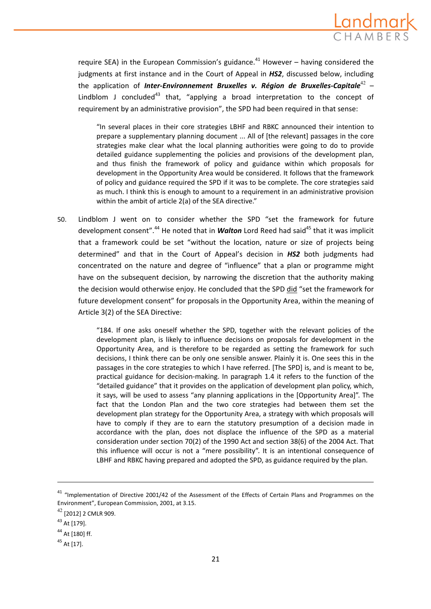

require SEA) in the European Commission's guidance.<sup>41</sup> However – having considered the judgments at first instance and in the Court of Appeal in *HS2*, discussed below, including the application of *Inter‐Environnement Bruxelles v. Région de Bruxelles‐Capitale*<sup>42</sup> – Lindblom J concluded<sup>43</sup> that, "applying a broad interpretation to the concept of requirement by an administrative provision", the SPD had been required in that sense:

"In several places in their core strategies LBHF and RBKC announced their intention to prepare a supplementary planning document ... All of [the relevant] passages in the core strategies make clear what the local planning authorities were going to do to provide detailed guidance supplementing the policies and provisions of the development plan, and thus finish the framework of policy and guidance within which proposals for development in the Opportunity Area would be considered. It follows that the framework of policy and guidance required the SPD if it was to be complete. The core strategies said as much. I think this is enough to amount to a requirement in an administrative provision within the ambit of article 2(a) of the SEA directive."

50. Lindblom J went on to consider whether the SPD "set the framework for future development consent".<sup>44</sup> He noted that in **Walton** Lord Reed had said<sup>45</sup> that it was implicit that a framework could be set "without the location, nature or size of projects being determined" and that in the Court of Appeal's decision in *HS2* both judgments had concentrated on the nature and degree of "influence" that a plan or programme might have on the subsequent decision, by narrowing the discretion that the authority making the decision would otherwise enjoy. He concluded that the SPD did "set the framework for future development consent" for proposals in the Opportunity Area, within the meaning of Article 3(2) of the SEA Directive:

> "184. If one asks oneself whether the SPD, together with the relevant policies of the development plan, is likely to influence decisions on proposals for development in the Opportunity Area, and is therefore to be regarded as setting the framework for such decisions, I think there can be only one sensible answer. Plainly it is. One sees this in the passages in the core strategies to which I have referred. [The SPD] is, and is meant to be, practical guidance for decision‐making. In paragraph 1.4 it refers to the function of the "detailed guidance" that it provides on the application of development plan policy, which, it says, will be used to assess "any planning applications in the [Opportunity Area]". The fact that the London Plan and the two core strategies had between them set the development plan strategy for the Opportunity Area, a strategy with which proposals will have to comply if they are to earn the statutory presumption of a decision made in accordance with the plan, does not displace the influence of the SPD as a material consideration under section 70(2) of the 1990 Act and section 38(6) of the 2004 Act. That this influence will occur is not a "mere possibility". It is an intentional consequence of LBHF and RBKC having prepared and adopted the SPD, as guidance required by the plan.

<sup>&</sup>lt;sup>41</sup> "Implementation of Directive 2001/42 of the Assessment of the Effects of Certain Plans and Programmes on the Environment", European Commission, 2001, at 3.15.

<sup>42</sup> [2012] <sup>2</sup> CMLR 909.

<sup>43</sup> At [179].

<sup>44</sup> At [180] ff.

 $45$  At [17].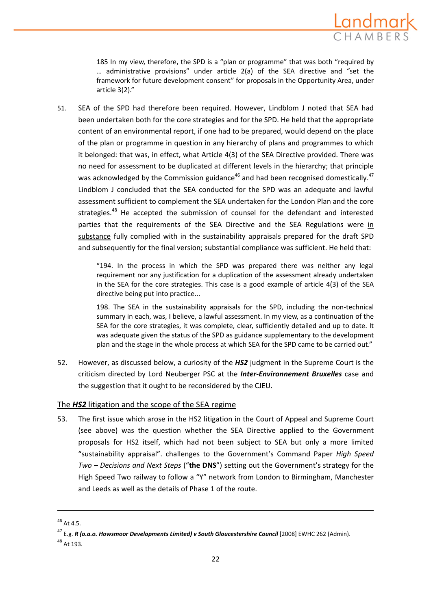

185 In my view, therefore, the SPD is a "plan or programme" that was both "required by … administrative provisions" under article 2(a) of the SEA directive and "set the framework for future development consent" for proposals in the Opportunity Area, under article 3(2)."

51. SEA of the SPD had therefore been required. However, Lindblom J noted that SEA had been undertaken both for the core strategies and for the SPD. He held that the appropriate content of an environmental report, if one had to be prepared, would depend on the place of the plan or programme in question in any hierarchy of plans and programmes to which it belonged: that was, in effect, what Article 4(3) of the SEA Directive provided. There was no need for assessment to be duplicated at different levels in the hierarchy; that principle was acknowledged by the Commission guidance<sup>46</sup> and had been recognised domestically.<sup>47</sup> Lindblom J concluded that the SEA conducted for the SPD was an adequate and lawful assessment sufficient to complement the SEA undertaken for the London Plan and the core strategies.<sup>48</sup> He accepted the submission of counsel for the defendant and interested parties that the requirements of the SEA Directive and the SEA Regulations were in substance fully complied with in the sustainability appraisals prepared for the draft SPD and subsequently for the final version; substantial compliance was sufficient. He held that:

> "194. In the process in which the SPD was prepared there was neither any legal requirement nor any justification for a duplication of the assessment already undertaken in the SEA for the core strategies. This case is a good example of article 4(3) of the SEA directive being put into practice...

> 198. The SEA in the sustainability appraisals for the SPD, including the non-technical summary in each, was, I believe, a lawful assessment. In my view, as a continuation of the SEA for the core strategies, it was complete, clear, sufficiently detailed and up to date. It was adequate given the status of the SPD as guidance supplementary to the development plan and the stage in the whole process at which SEA for the SPD came to be carried out."

52. However, as discussed below, a curiosity of the *HS2* judgment in the Supreme Court is the criticism directed by Lord Neuberger PSC at the *Inter‐Environnement Bruxelles* case and the suggestion that it ought to be reconsidered by the CJEU.

# The *HS2* litigation and the scope of the SEA regime

53. The first issue which arose in the HS2 litigation in the Court of Appeal and Supreme Court (see above) was the question whether the SEA Directive applied to the Government proposals for HS2 itself, which had not been subject to SEA but only a more limited "sustainability appraisal". challenges to the Government's Command Paper *High Speed Two – Decisions and Next Steps* ("**the DNS**") setting out the Government's strategy for the High Speed Two railway to follow a "Y" network from London to Birmingham, Manchester and Leeds as well as the details of Phase 1 of the route.

 $46$  At 4.5.

<sup>47</sup> E.g. *R (o.a.o. Howsmoor Developments Limited) v South Gloucestershire Council* [2008] EWHC 262 (Admin). <sup>48</sup> At 193.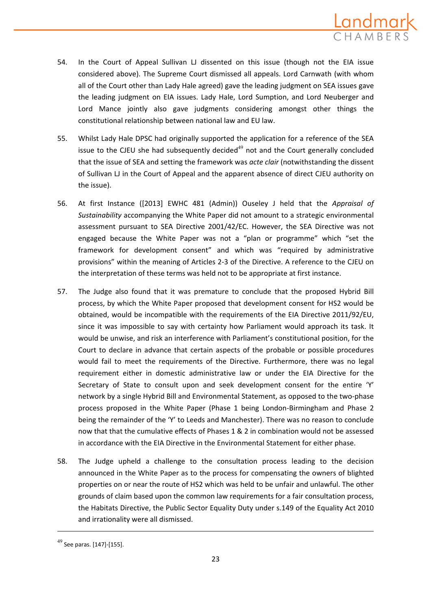

- 54. In the Court of Appeal Sullivan LJ dissented on this issue (though not the EIA issue considered above). The Supreme Court dismissed all appeals. Lord Carnwath (with whom all of the Court other than Lady Hale agreed) gave the leading judgment on SEA issues gave the leading judgment on EIA issues. Lady Hale, Lord Sumption, and Lord Neuberger and Lord Mance jointly also gave judgments considering amongst other things the constitutional relationship between national law and EU law.
- 55. Whilst Lady Hale DPSC had originally supported the application for a reference of the SEA issue to the CJEU she had subsequently decided $49$  not and the Court generally concluded that the issue of SEA and setting the framework was *acte clair* (notwithstanding the dissent of Sullivan LJ in the Court of Appeal and the apparent absence of direct CJEU authority on the issue).
- 56. At first Instance ([2013] EWHC 481 (Admin)) Ouseley J held that the *Appraisal of Sustainability* accompanying the White Paper did not amount to a strategic environmental assessment pursuant to SEA Directive 2001/42/EC. However, the SEA Directive was not engaged because the White Paper was not a "plan or programme" which "set the framework for development consent" and which was "required by administrative provisions" within the meaning of Articles 2‐3 of the Directive. A reference to the CJEU on the interpretation of these terms was held not to be appropriate at first instance.
- 57. The Judge also found that it was premature to conclude that the proposed Hybrid Bill process, by which the White Paper proposed that development consent for HS2 would be obtained, would be incompatible with the requirements of the EIA Directive 2011/92/EU, since it was impossible to say with certainty how Parliament would approach its task. It would be unwise, and risk an interference with Parliament's constitutional position, for the Court to declare in advance that certain aspects of the probable or possible procedures would fail to meet the requirements of the Directive. Furthermore, there was no legal requirement either in domestic administrative law or under the EIA Directive for the Secretary of State to consult upon and seek development consent for the entire 'Y' network by a single Hybrid Bill and Environmental Statement, as opposed to the two‐phase process proposed in the White Paper (Phase 1 being London‐Birmingham and Phase 2 being the remainder of the 'Y' to Leeds and Manchester). There was no reason to conclude now that that the cumulative effects of Phases 1 & 2 in combination would not be assessed in accordance with the EIA Directive in the Environmental Statement for either phase.
- 58. The Judge upheld a challenge to the consultation process leading to the decision announced in the White Paper as to the process for compensating the owners of blighted properties on or near the route of HS2 which was held to be unfair and unlawful. The other grounds of claim based upon the common law requirements for a fair consultation process, the Habitats Directive, the Public Sector Equality Duty under s.149 of the Equality Act 2010 and irrationality were all dismissed.

 $^{49}$  See paras. [147]-[155].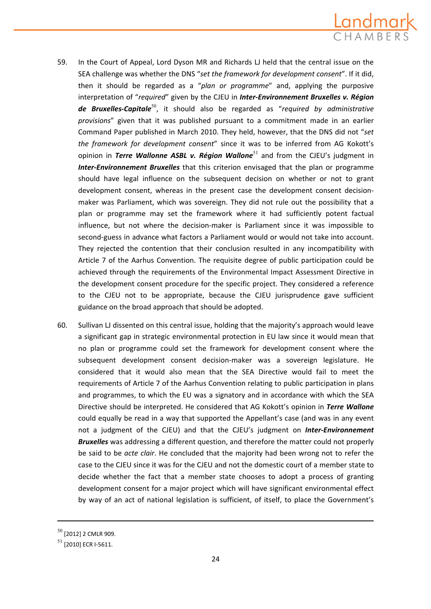

- 59. In the Court of Appeal, Lord Dyson MR and Richards LJ held that the central issue on the SEA challenge was whether the DNS "*set the framework for development consent*". If it did, then it should be regarded as a "*plan or programme*" and, applying the purposive interpretation of "*required*" given by the CJEU in *Inter‐Environnement Bruxelles v. Région de Bruxelles‐Capitale*<sup>50</sup>, it should also be regarded as "*required by administrative provisions*" given that it was published pursuant to a commitment made in an earlier Command Paper published in March 2010. They held, however, that the DNS did not "*set the framework for development consent*" since it was to be inferred from AG Kokott's opinion in *Terre Wallonne ASBL v. Région Wallone*<sup>51</sup> and from the CJEU's judgment in *Inter‐Environnement Bruxelles* that this criterion envisaged that the plan or programme should have legal influence on the subsequent decision on whether or not to grant development consent, whereas in the present case the development consent decisionmaker was Parliament, which was sovereign. They did not rule out the possibility that a plan or programme may set the framework where it had sufficiently potent factual influence, but not where the decision‐maker is Parliament since it was impossible to second-guess in advance what factors a Parliament would or would not take into account. They rejected the contention that their conclusion resulted in any incompatibility with Article 7 of the Aarhus Convention. The requisite degree of public participation could be achieved through the requirements of the Environmental Impact Assessment Directive in the development consent procedure for the specific project. They considered a reference to the CJEU not to be appropriate, because the CJEU jurisprudence gave sufficient guidance on the broad approach that should be adopted.
- 60. Sullivan LJ dissented on this central issue, holding that the majority's approach would leave a significant gap in strategic environmental protection in EU law since it would mean that no plan or programme could set the framework for development consent where the subsequent development consent decision‐maker was a sovereign legislature. He considered that it would also mean that the SEA Directive would fail to meet the requirements of Article 7 of the Aarhus Convention relating to public participation in plans and programmes, to which the EU was a signatory and in accordance with which the SEA Directive should be interpreted. He considered that AG Kokott's opinion in *Terre Wallone* could equally be read in a way that supported the Appellant's case (and was in any event not a judgment of the CJEU) and that the CJEU's judgment on *Inter‐Environnement Bruxelles* was addressing a different question, and therefore the matter could not properly be said to be *acte clair*. He concluded that the majority had been wrong not to refer the case to the CJEU since it was for the CJEU and not the domestic court of a member state to decide whether the fact that a member state chooses to adopt a process of granting development consent for a major project which will have significant environmental effect by way of an act of national legislation is sufficient, of itself, to place the Government's

<sup>50</sup> [2012] <sup>2</sup> CMLR 909.

 $51$  [2010] ECR I-5611.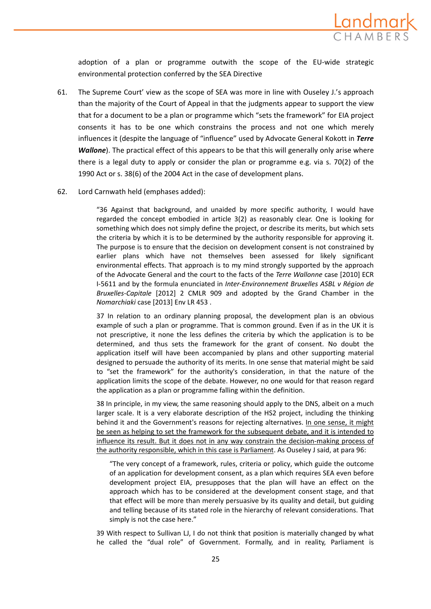

adoption of a plan or programme outwith the scope of the EU‐wide strategic environmental protection conferred by the SEA Directive

- 61. The Supreme Court' view as the scope of SEA was more in line with Ouseley J.'s approach than the majority of the Court of Appeal in that the judgments appear to support the view that for a document to be a plan or programme which "sets the framework" for EIA project consents it has to be one which constrains the process and not one which merely influences it (despite the language of "influence" used by Advocate General Kokott in *Terre Wallone*). The practical effect of this appears to be that this will generally only arise where there is a legal duty to apply or consider the plan or programme e.g. via s. 70(2) of the 1990 Act or s. 38(6) of the 2004 Act in the case of development plans.
- 62. Lord Carnwath held (emphases added):

"36 Against that background, and unaided by more specific authority, I would have regarded the concept embodied in article 3(2) as reasonably clear. One is looking for something which does not simply define the project, or describe its merits, but which sets the criteria by which it is to be determined by the authority responsible for approving it. The purpose is to ensure that the decision on development consent is not constrained by earlier plans which have not themselves been assessed for likely significant environmental effects. That approach is to my mind strongly supported by the approach of the Advocate General and the court to the facts of the *Terre Wallonne* case [2010] ECR I‐5611 and by the formula enunciated in *Inter‐Environnement Bruxelles ASBL v Région de Bruxelles‐Capitale* [2012] 2 CMLR 909 and adopted by the Grand Chamber in the *Nomarchiaki* case [2013] Env LR 453 .

37 In relation to an ordinary planning proposal, the development plan is an obvious example of such a plan or programme. That is common ground. Even if as in the UK it is not prescriptive, it none the less defines the criteria by which the application is to be determined, and thus sets the framework for the grant of consent. No doubt the application itself will have been accompanied by plans and other supporting material designed to persuade the authority of its merits. In one sense that material might be said to "set the framework" for the authority's consideration, in that the nature of the application limits the scope of the debate. However, no one would for that reason regard the application as a plan or programme falling within the definition.

38 In principle, in my view, the same reasoning should apply to the DNS, albeit on a much larger scale. It is a very elaborate description of the HS2 project, including the thinking behind it and the Government's reasons for rejecting alternatives. In one sense, it might be seen as helping to set the framework for the subsequent debate, and it is intended to influence its result. But it does not in any way constrain the decision-making process of the authority responsible, which in this case is Parliament. As Ouseley J said, at para 96:

"The very concept of a framework, rules, criteria or policy, which guide the outcome of an application for development consent, as a plan which requires SEA even before development project EIA, presupposes that the plan will have an effect on the approach which has to be considered at the development consent stage, and that that effect will be more than merely persuasive by its quality and detail, but guiding and telling because of its stated role in the hierarchy of relevant considerations. That simply is not the case here."

39 With respect to Sullivan LJ, I do not think that position is materially changed by what he called the "dual role" of Government. Formally, and in reality, Parliament is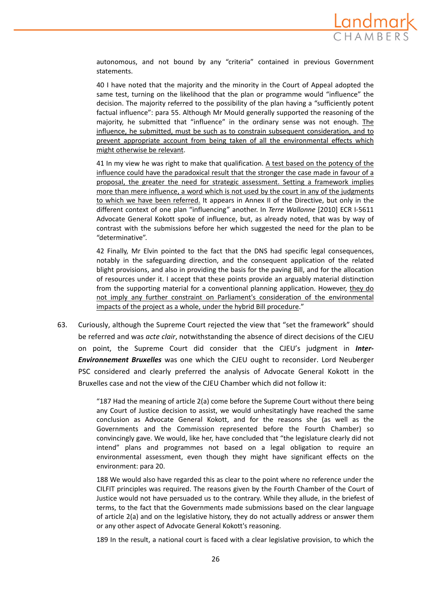

autonomous, and not bound by any "criteria" contained in previous Government statements.

40 I have noted that the majority and the minority in the Court of Appeal adopted the same test, turning on the likelihood that the plan or programme would "influence" the decision. The majority referred to the possibility of the plan having a "sufficiently potent factual influence": para 55. Although Mr Mould generally supported the reasoning of the majority, he submitted that "influence" in the ordinary sense was not enough. The influence, he submitted, must be such as to constrain subsequent consideration, and to prevent appropriate account from being taken of all the environmental effects which might otherwise be relevant.

41 In my view he was right to make that qualification. A test based on the potency of the influence could have the paradoxical result that the stronger the case made in favour of a proposal, the greater the need for strategic assessment. Setting a framework implies more than mere influence, a word which is not used by the court in any of the judgments to which we have been referred. It appears in Annex II of the Directive, but only in the different context of one plan "influencing" another. In *Terre Wallonne* [2010] ECR I‐5611 Advocate General Kokott spoke of influence, but, as already noted, that was by way of contrast with the submissions before her which suggested the need for the plan to be "determinative".

42 Finally, Mr Elvin pointed to the fact that the DNS had specific legal consequences, notably in the safeguarding direction, and the consequent application of the related blight provisions, and also in providing the basis for the paving Bill, and for the allocation of resources under it. I accept that these points provide an arguably material distinction from the supporting material for a conventional planning application. However, they do not imply any further constraint on Parliament's consideration of the environmental impacts of the project as a whole, under the hybrid Bill procedure."

63. Curiously, although the Supreme Court rejected the view that "set the framework" should be referred and was *acte clair*, notwithstanding the absence of direct decisions of the CJEU on point, the Supreme Court did consider that the CJEU's judgment in *Inter‐ Environnement Bruxelles* was one which the CJEU ought to reconsider. Lord Neuberger PSC considered and clearly preferred the analysis of Advocate General Kokott in the Bruxelles case and not the view of the CJEU Chamber which did not follow it:

> "187 Had the meaning of article 2(a) come before the Supreme Court without there being any Court of Justice decision to assist, we would unhesitatingly have reached the same conclusion as Advocate General Kokott, and for the reasons she (as well as the Governments and the Commission represented before the Fourth Chamber) so convincingly gave. We would, like her, have concluded that "the legislature clearly did not intend" plans and programmes not based on a legal obligation to require an environmental assessment, even though they might have significant effects on the environment: para 20.

> 188 We would also have regarded this as clear to the point where no reference under the CILFIT principles was required. The reasons given by the Fourth Chamber of the Court of Justice would not have persuaded us to the contrary. While they allude, in the briefest of terms, to the fact that the Governments made submissions based on the clear language of article 2(a) and on the legislative history, they do not actually address or answer them or any other aspect of Advocate General Kokott's reasoning.

> 189 In the result, a national court is faced with a clear legislative provision, to which the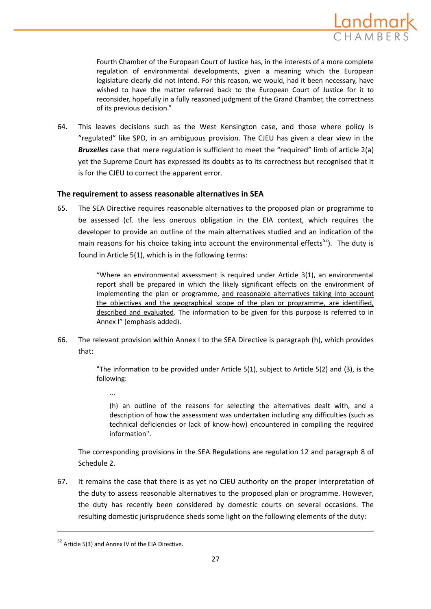

Fourth Chamber of the European Court of Justice has, in the interests of a more complete regulation of environmental developments, given a meaning which the European legislature clearly did not intend. For this reason, we would, had it been necessary, have wished to have the matter referred back to the European Court of Justice for it to reconsider, hopefully in a fully reasoned judgment of the Grand Chamber, the correctness of its previous decision."

64. This leaves decisions such as the West Kensington case, and those where policy is "regulated" like SPD, in an ambiguous provision. The CJEU has given a clear view in the *Bruxelles* case that mere regulation is sufficient to meet the "required" limb of article 2(a) yet the Supreme Court has expressed its doubts as to its correctness but recognised that it is for the CJEU to correct the apparent error.

# **The requirement to assess reasonable alternatives in SEA**

65. The SEA Directive requires reasonable alternatives to the proposed plan or programme to be assessed (cf. the less onerous obligation in the EIA context, which requires the developer to provide an outline of the main alternatives studied and an indication of the main reasons for his choice taking into account the environmental effects $52$ ). The duty is found in Article 5(1), which is in the following terms:

> "Where an environmental assessment is required under Article 3(1), an environmental report shall be prepared in which the likely significant effects on the environment of implementing the plan or programme, and reasonable alternatives taking into account the objectives and the geographical scope of the plan or programme, are identified, described and evaluated. The information to be given for this purpose is referred to in Annex I" (emphasis added).

66. The relevant provision within Annex I to the SEA Directive is paragraph (h), which provides that:

> "The information to be provided under Article 5(1), subject to Article 5(2) and (3), is the following:

...

(h) an outline of the reasons for selecting the alternatives dealt with, and a description of how the assessment was undertaken including any difficulties (such as technical deficiencies or lack of know‐how) encountered in compiling the required information".

The corresponding provisions in the SEA Regulations are regulation 12 and paragraph 8 of Schedule 2.

67. It remains the case that there is as yet no CJEU authority on the proper interpretation of the duty to assess reasonable alternatives to the proposed plan or programme. However, the duty has recently been considered by domestic courts on several occasions. The resulting domestic jurisprudence sheds some light on the following elements of the duty:

<sup>52</sup> Article 5(3) and Annex IV of the EIA Directive.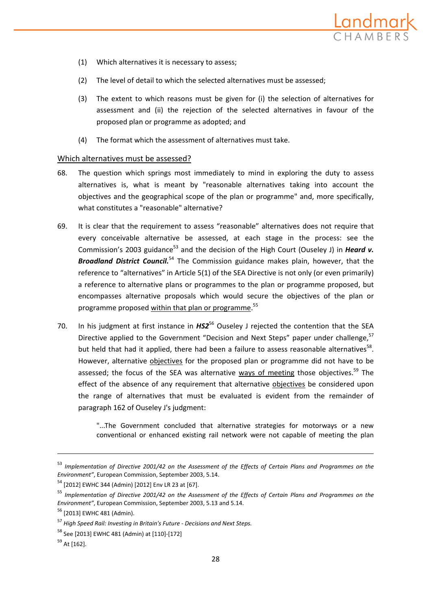

- (1) Which alternatives it is necessary to assess;
- (2) The level of detail to which the selected alternatives must be assessed;
- (3) The extent to which reasons must be given for (i) the selection of alternatives for assessment and (ii) the rejection of the selected alternatives in favour of the proposed plan or programme as adopted; and
- (4) The format which the assessment of alternatives must take.

#### Which alternatives must be assessed?

- 68. The question which springs most immediately to mind in exploring the duty to assess alternatives is, what is meant by "reasonable alternatives taking into account the objectives and the geographical scope of the plan or programme" and, more specifically, what constitutes a "reasonable" alternative?
- 69. It is clear that the requirement to assess "reasonable" alternatives does not require that every conceivable alternative be assessed, at each stage in the process: see the Commission's 2003 guidance<sup>53</sup> and the decision of the High Court (Ouseley J) in *Heard v. Broadland District Council.*<sup>54</sup> The Commission guidance makes plain, however, that the reference to "alternatives" in Article 5(1) of the SEA Directive is not only (or even primarily) a reference to alternative plans or programmes to the plan or programme proposed, but encompasses alternative proposals which would secure the objectives of the plan or programme proposed within that plan or programme.<sup>55</sup>
- 70. In his judgment at first instance in *HS2<sup>56</sup>* Ouseley J rejected the contention that the SEA Directive applied to the Government "Decision and Next Steps" paper under challenge,<sup>57</sup> but held that had it applied, there had been a failure to assess reasonable alternatives<sup>58</sup>. However, alternative objectives for the proposed plan or programme did not have to be assessed; the focus of the SEA was alternative ways of meeting those objectives.<sup>59</sup> The effect of the absence of any requirement that alternative objectives be considered upon the range of alternatives that must be evaluated is evident from the remainder of paragraph 162 of Ouseley J's judgment:

"...The Government concluded that alternative strategies for motorways or a new conventional or enhanced existing rail network were not capable of meeting the plan

<sup>53</sup> *Implementation of Directive 2001/42 on the Assessment of the Effects of Certain Plans and Programmes on the Environment"*, European Commission, September 2003, 5.14.

<sup>54</sup> [2012] EWHC 344 (Admin) [2012] Env LR 23 at [67].

<sup>55</sup> *Implementation of Directive 2001/42 on the Assessment of the Effects of Certain Plans and Programmes on the Environment"*, European Commission, September 2003, 5.13 and 5.14.

<sup>56</sup> [2013] EWHC 481 (Admin).

<sup>57</sup> *High Speed Rail: Investing in Britain's Future ‐ Decisions and Next Steps.*

<sup>58</sup> See [2013] EWHC 481 (Admin) at [110]‐[172]

<sup>59</sup> At [162].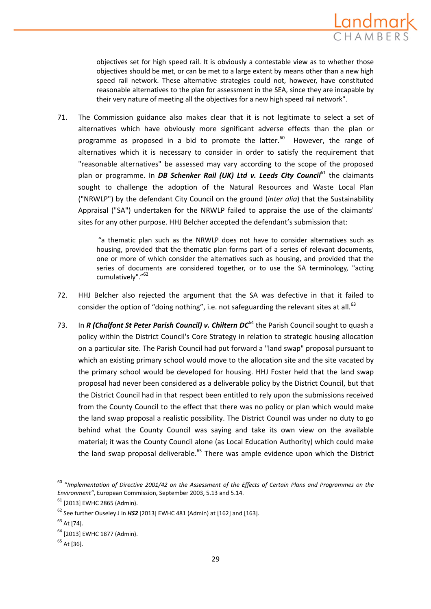

objectives set for high speed rail. It is obviously a contestable view as to whether those objectives should be met, or can be met to a large extent by means other than a new high speed rail network. These alternative strategies could not, however, have constituted reasonable alternatives to the plan for assessment in the SEA, since they are incapable by their very nature of meeting all the objectives for a new high speed rail network".

71. The Commission guidance also makes clear that it is not legitimate to select a set of alternatives which have obviously more significant adverse effects than the plan or programme as proposed in a bid to promote the latter. $60$  However, the range of alternatives which it is necessary to consider in order to satisfy the requirement that "reasonable alternatives" be assessed may vary according to the scope of the proposed plan or programme. In *DB Schenker Rail (UK) Ltd v. Leeds City Council*<sup>61</sup> the claimants sought to challenge the adoption of the Natural Resources and Waste Local Plan ("NRWLP") by the defendant City Council on the ground (*inter alia*) that the Sustainability Appraisal ("SA") undertaken for the NRWLP failed to appraise the use of the claimants' sites for any other purpose. HHJ Belcher accepted the defendant's submission that:

> "a thematic plan such as the NRWLP does not have to consider alternatives such as housing, provided that the thematic plan forms part of a series of relevant documents, one or more of which consider the alternatives such as housing, and provided that the series of documents are considered together, or to use the SA terminology, "acting cumulatively"."<sup>62</sup>

- 72. HHJ Belcher also rejected the argument that the SA was defective in that it failed to consider the option of "doing nothing", i.e. not safeguarding the relevant sites at all. $63$
- 73. In *R (Chalfont St Peter Parish Council) v. Chiltern DC*<sup>64</sup> the Parish Council sought to quash a policy within the District Council's Core Strategy in relation to strategic housing allocation on a particular site. The Parish Council had put forward a "land swap" proposal pursuant to which an existing primary school would move to the allocation site and the site vacated by the primary school would be developed for housing. HHJ Foster held that the land swap proposal had never been considered as a deliverable policy by the District Council, but that the District Council had in that respect been entitled to rely upon the submissions received from the County Council to the effect that there was no policy or plan which would make the land swap proposal a realistic possibility. The District Council was under no duty to go behind what the County Council was saying and take its own view on the available material; it was the County Council alone (as Local Education Authority) which could make the land swap proposal deliverable.<sup>65</sup> There was ample evidence upon which the District

<u> 1989 - Johann Stein, marwolaethau a bhann an chomhair an chomhair an chomhair an chomhair an chomhair an chom</u>

<sup>60</sup> "*Implementation of Directive 2001/42 on the Assessment of the Effects of Certain Plans and Programmes on the Environment"*, European Commission, September 2003, 5.13 and 5.14.

 $61$  [2013] EWHC 2865 (Admin).

<sup>62</sup> See further Ouseley J in *HS2* [2013] EWHC 481 (Admin) at [162] and [163].

 $63$  At [74].

<sup>&</sup>lt;sup>64</sup> [2013] EWHC 1877 (Admin).

 $65$  At [36].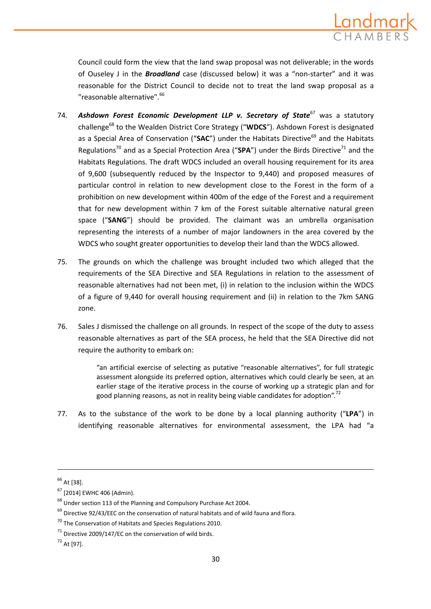

Council could form the view that the land swap proposal was not deliverable; in the words of Ouseley J in the *Broadland* case (discussed below) it was a "non‐starter" and it was reasonable for the District Council to decide not to treat the land swap proposal as a "reasonable alternative".<sup>66</sup>

- 74. *Ashdown Forest Economic Development LLP v. Secretary of State*<sup>67</sup> was a statutory challenge<sup>68</sup> to the Wealden District Core Strategy ("**WDCS**"). Ashdown Forest is designated as a Special Area of Conservation ("SAC") under the Habitats Directive<sup>69</sup> and the Habitats Regulations<sup>70</sup> and as a Special Protection Area ("**SPA**") under the Birds Directive<sup>71</sup> and the Habitats Regulations. The draft WDCS included an overall housing requirement for its area of 9,600 (subsequently reduced by the Inspector to 9,440) and proposed measures of particular control in relation to new development close to the Forest in the form of a prohibition on new development within 400m of the edge of the Forest and a requirement that for new development within 7 km of the Forest suitable alternative natural green space ("**SANG**") should be provided. The claimant was an umbrella organisation representing the interests of a number of major landowners in the area covered by the WDCS who sought greater opportunities to develop their land than the WDCS allowed.
- 75. The grounds on which the challenge was brought included two which alleged that the requirements of the SEA Directive and SEA Regulations in relation to the assessment of reasonable alternatives had not been met, (i) in relation to the inclusion within the WDCS of a figure of 9,440 for overall housing requirement and (ii) in relation to the 7km SANG zone.
- 76. Sales J dismissed the challenge on all grounds. In respect of the scope of the duty to assess reasonable alternatives as part of the SEA process, he held that the SEA Directive did not require the authority to embark on:

"an artificial exercise of selecting as putative "reasonable alternatives", for full strategic assessment alongside its preferred option, alternatives which could clearly be seen, at an earlier stage of the iterative process in the course of working up a strategic plan and for good planning reasons, as not in reality being viable candidates for adoption".<sup>72</sup>

77. As to the substance of the work to be done by a local planning authority ("**LPA**") in identifying reasonable alternatives for environmental assessment, the LPA had "a

<sup>66</sup> At [38].

 $67$  [2014] EWHC 406 (Admin).

 $^{68}$  Under section 113 of the Planning and Compulsory Purchase Act 2004.

 $^{69}$  Directive 92/43/EEC on the conservation of natural habitats and of wild fauna and flora.

 $70$  The Conservation of Habitats and Species Regulations 2010.

 $71$  Directive 2009/147/EC on the conservation of wild birds.

<sup>72</sup> At [97].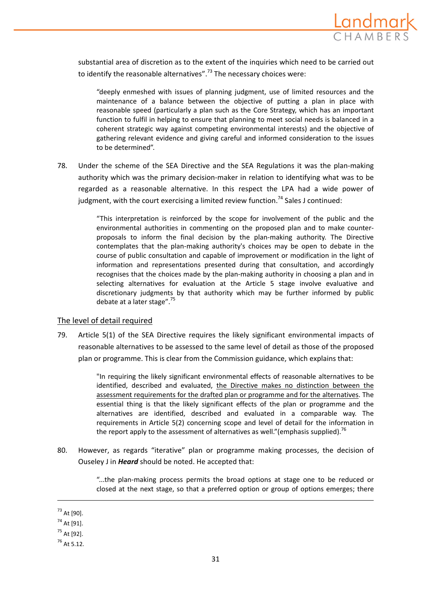

substantial area of discretion as to the extent of the inquiries which need to be carried out to identify the reasonable alternatives".<sup>73</sup> The necessary choices were:

"deeply enmeshed with issues of planning judgment, use of limited resources and the maintenance of a balance between the objective of putting a plan in place with reasonable speed (particularly a plan such as the Core Strategy, which has an important function to fulfil in helping to ensure that planning to meet social needs is balanced in a coherent strategic way against competing environmental interests) and the objective of gathering relevant evidence and giving careful and informed consideration to the issues to be determined".

78. Under the scheme of the SEA Directive and the SEA Regulations it was the plan-making authority which was the primary decision‐maker in relation to identifying what was to be regarded as a reasonable alternative. In this respect the LPA had a wide power of judgment, with the court exercising a limited review function.<sup>74</sup> Sales J continued:

> "This interpretation is reinforced by the scope for involvement of the public and the environmental authorities in commenting on the proposed plan and to make counter‐ proposals to inform the final decision by the plan‐making authority. The Directive contemplates that the plan-making authority's choices may be open to debate in the course of public consultation and capable of improvement or modification in the light of information and representations presented during that consultation, and accordingly recognises that the choices made by the plan-making authority in choosing a plan and in selecting alternatives for evaluation at the Article 5 stage involve evaluative and discretionary judgments by that authority which may be further informed by public debate at a later stage".<sup>75</sup>

# The level of detail required

79. Article 5(1) of the SEA Directive requires the likely significant environmental impacts of reasonable alternatives to be assessed to the same level of detail as those of the proposed plan or programme. This is clear from the Commission guidance, which explains that:

> "In requiring the likely significant environmental effects of reasonable alternatives to be identified, described and evaluated, the Directive makes no distinction between the assessment requirements for the drafted plan or programme and for the alternatives. The essential thing is that the likely significant effects of the plan or programme and the alternatives are identified, described and evaluated in a comparable way. The requirements in Article 5(2) concerning scope and level of detail for the information in the report apply to the assessment of alternatives as well." (emphasis supplied).<sup>76</sup>

80. However, as regards "iterative" plan or programme making processes, the decision of Ouseley J in *Heard* should be noted. He accepted that:

<u> 1989 - Johann Stein, marwolaethau a bhann an chomhair an chomhair an chomhair an chomhair an chomhair an chom</u>

"...the plan‐making process permits the broad options at stage one to be reduced or closed at the next stage, so that a preferred option or group of options emerges; there

 $^{73}$  At [90].

 $74$  At [91].

 $^{75}$  At [92].

 $76$  At 5.12.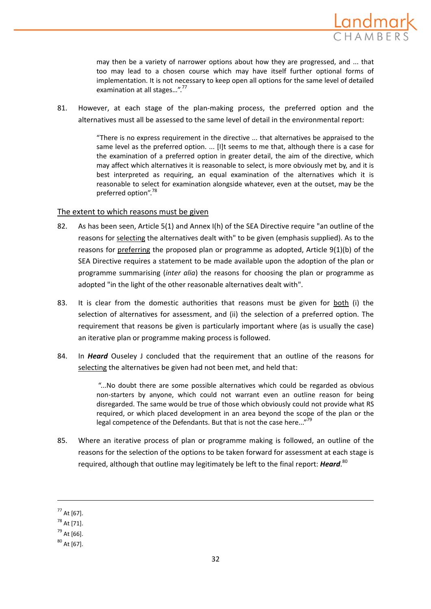

may then be a variety of narrower options about how they are progressed, and ... that too may lead to a chosen course which may have itself further optional forms of implementation. It is not necessary to keep open all options for the same level of detailed examination at all stages...".<sup>77</sup>

81. However, at each stage of the plan-making process, the preferred option and the alternatives must all be assessed to the same level of detail in the environmental report:

> "There is no express requirement in the directive ... that alternatives be appraised to the same level as the preferred option. ... [I]t seems to me that, although there is a case for the examination of a preferred option in greater detail, the aim of the directive, which may affect which alternatives it is reasonable to select, is more obviously met by, and it is best interpreted as requiring, an equal examination of the alternatives which it is reasonable to select for examination alongside whatever, even at the outset, may be the preferred option".<sup>78</sup>

## The extent to which reasons must be given

- 82. As has been seen, Article 5(1) and Annex I(h) of the SEA Directive require "an outline of the reasons for selecting the alternatives dealt with" to be given (emphasis supplied). As to the reasons for preferring the proposed plan or programme as adopted, Article 9(1)(b) of the SEA Directive requires a statement to be made available upon the adoption of the plan or programme summarising (*inter alia*) the reasons for choosing the plan or programme as adopted "in the light of the other reasonable alternatives dealt with".
- 83. It is clear from the domestic authorities that reasons must be given for both (i) the selection of alternatives for assessment, and (ii) the selection of a preferred option. The requirement that reasons be given is particularly important where (as is usually the case) an iterative plan or programme making process is followed.
- 84. In *Heard* Ouseley J concluded that the requirement that an outline of the reasons for selecting the alternatives be given had not been met, and held that:

"...No doubt there are some possible alternatives which could be regarded as obvious non‐starters by anyone, which could not warrant even an outline reason for being disregarded. The same would be true of those which obviously could not provide what RS required, or which placed development in an area beyond the scope of the plan or the legal competence of the Defendants. But that is not the case here..."<sup>79</sup>

85. Where an iterative process of plan or programme making is followed, an outline of the reasons for the selection of the options to be taken forward for assessment at each stage is required, although that outline may legitimately be left to the final report: *Heard*. 80

<u> 1989 - Johann Stein, marwolaethau a bhann an chomhair an chomhair an chomhair an chomhair an chomhair an chom</u>

 $77$  At [67].

 $78$  At [71].

 $79$  At [66].

 $80$  At [67].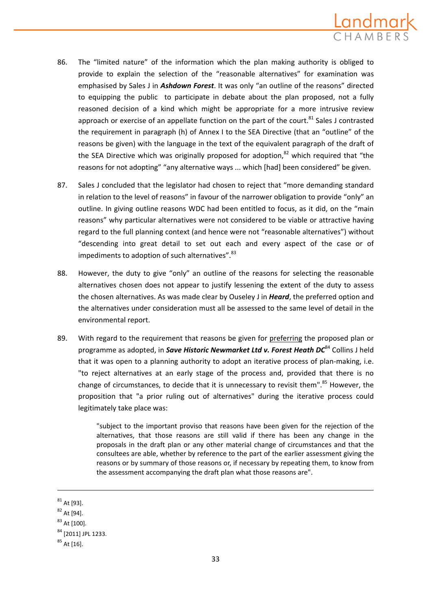

- 86. The "limited nature" of the information which the plan making authority is obliged to provide to explain the selection of the "reasonable alternatives" for examination was emphasised by Sales J in *Ashdown Forest*. It was only "an outline of the reasons" directed to equipping the public to participate in debate about the plan proposed, not a fully reasoned decision of a kind which might be appropriate for a more intrusive review approach or exercise of an appellate function on the part of the court. $81$  Sales J contrasted the requirement in paragraph (h) of Annex I to the SEA Directive (that an "outline" of the reasons be given) with the language in the text of the equivalent paragraph of the draft of the SEA Directive which was originally proposed for adoption.<sup>82</sup> which required that "the reasons for not adopting" "any alternative ways ... which [had] been considered" be given.
- 87. Sales J concluded that the legislator had chosen to reject that "more demanding standard in relation to the level of reasons" in favour of the narrower obligation to provide "only" an outline. In giving outline reasons WDC had been entitled to focus, as it did, on the "main reasons" why particular alternatives were not considered to be viable or attractive having regard to the full planning context (and hence were not "reasonable alternatives") without "descending into great detail to set out each and every aspect of the case or of impediments to adoption of such alternatives". <sup>83</sup>
- 88. However, the duty to give "only" an outline of the reasons for selecting the reasonable alternatives chosen does not appear to justify lessening the extent of the duty to assess the chosen alternatives. As was made clear by Ouseley J in *Heard*, the preferred option and the alternatives under consideration must all be assessed to the same level of detail in the environmental report.
- 89. With regard to the requirement that reasons be given for preferring the proposed plan or programme as adopted, in *Save Historic Newmarket Ltd v. Forest Heath DC*<sup>84</sup> Collins J held that it was open to a planning authority to adopt an iterative process of plan-making, i.e. "to reject alternatives at an early stage of the process and, provided that there is no change of circumstances, to decide that it is unnecessary to revisit them". $85$  However, the proposition that "a prior ruling out of alternatives" during the iterative process could legitimately take place was:

"subject to the important proviso that reasons have been given for the rejection of the alternatives, that those reasons are still valid if there has been any change in the proposals in the draft plan or any other material change of circumstances and that the consultees are able, whether by reference to the part of the earlier assessment giving the reasons or by summary of those reasons or, if necessary by repeating them, to know from the assessment accompanying the draft plan what those reasons are".

 $81$  At [93].

<sup>82</sup> At [94].

 $83$  At [100].

<sup>84</sup> [2011] JPL 1233.

 $85$  At [16].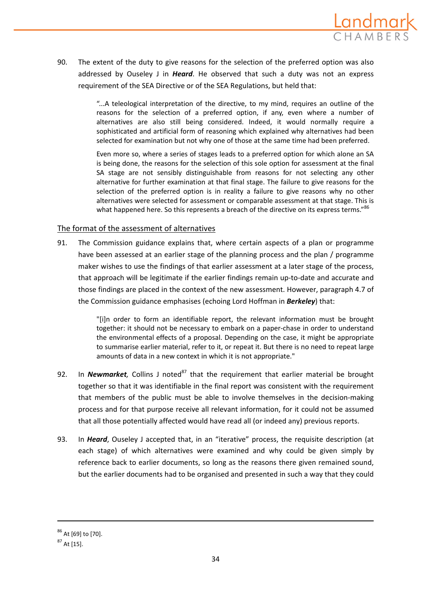

90. The extent of the duty to give reasons for the selection of the preferred option was also addressed by Ouseley J in *Heard*. He observed that such a duty was not an express requirement of the SEA Directive or of the SEA Regulations, but held that:

> "...A teleological interpretation of the directive, to my mind, requires an outline of the reasons for the selection of a preferred option, if any, even where a number of alternatives are also still being considered. Indeed, it would normally require a sophisticated and artificial form of reasoning which explained why alternatives had been selected for examination but not why one of those at the same time had been preferred.

> Even more so, where a series of stages leads to a preferred option for which alone an SA is being done, the reasons for the selection of this sole option for assessment at the final SA stage are not sensibly distinguishable from reasons for not selecting any other alternative for further examination at that final stage. The failure to give reasons for the selection of the preferred option is in reality a failure to give reasons why no other alternatives were selected for assessment or comparable assessment at that stage. This is what happened here. So this represents a breach of the directive on its express terms."<sup>86</sup>

# The format of the assessment of alternatives

91. The Commission guidance explains that, where certain aspects of a plan or programme have been assessed at an earlier stage of the planning process and the plan / programme maker wishes to use the findings of that earlier assessment at a later stage of the process, that approach will be legitimate if the earlier findings remain up-to-date and accurate and those findings are placed in the context of the new assessment. However, paragraph 4.7 of the Commission guidance emphasises (echoing Lord Hoffman in *Berkeley*) that:

> "[i]n order to form an identifiable report, the relevant information must be brought together: it should not be necessary to embark on a paper‐chase in order to understand the environmental effects of a proposal. Depending on the case, it might be appropriate to summarise earlier material, refer to it, or repeat it. But there is no need to repeat large amounts of data in a new context in which it is not appropriate."

- 92. In *Newmarket*, Collins J noted<sup>87</sup> that the requirement that earlier material be brought together so that it was identifiable in the final report was consistent with the requirement that members of the public must be able to involve themselves in the decision‐making process and for that purpose receive all relevant information, for it could not be assumed that all those potentially affected would have read all (or indeed any) previous reports.
- 93. In *Heard*, Ouseley J accepted that, in an "iterative" process, the requisite description (at each stage) of which alternatives were examined and why could be given simply by reference back to earlier documents, so long as the reasons there given remained sound, but the earlier documents had to be organised and presented in such a way that they could

<sup>86</sup> At [69] to [70].

 $87$  At [15].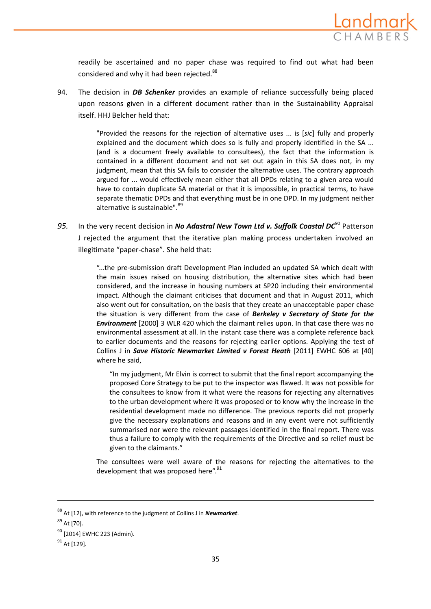

readily be ascertained and no paper chase was required to find out what had been considered and why it had been rejected.<sup>88</sup>

94. The decision in *DB Schenker* provides an example of reliance successfully being placed upon reasons given in a different document rather than in the Sustainability Appraisal itself. HHJ Belcher held that:

> "Provided the reasons for the rejection of alternative uses ... is [*sic*] fully and properly explained and the document which does so is fully and properly identified in the SA ... (and is a document freely available to consultees), the fact that the information is contained in a different document and not set out again in this SA does not, in my judgment, mean that this SA fails to consider the alternative uses. The contrary approach argued for ... would effectively mean either that all DPDs relating to a given area would have to contain duplicate SA material or that it is impossible, in practical terms, to have separate thematic DPDs and that everything must be in one DPD. In my judgment neither alternative is sustainable".<sup>89</sup>

*95.* In the very recent decision in *No Adastral New Town Ltd v. Suffolk Coastal DC*<sup>90</sup> Patterson J rejected the argument that the iterative plan making process undertaken involved an illegitimate "paper‐chase". She held that:

> "...the pre‐submission draft Development Plan included an updated SA which dealt with the main issues raised on housing distribution, the alternative sites which had been considered, and the increase in housing numbers at SP20 including their environmental impact. Although the claimant criticises that document and that in August 2011, which also went out for consultation, on the basis that they create an unacceptable paper chase the situation is very different from the case of *Berkeley v Secretary of State for the Environment* [2000] 3 WLR 420 which the claimant relies upon. In that case there was no environmental assessment at all. In the instant case there was a complete reference back to earlier documents and the reasons for rejecting earlier options. Applying the test of Collins J in *Save Historic Newmarket Limited v Forest Heath* [2011] EWHC 606 at [40] where he said,

"In my judgment, Mr Elvin is correct to submit that the final report accompanying the proposed Core Strategy to be put to the inspector was flawed. It was not possible for the consultees to know from it what were the reasons for rejecting any alternatives to the urban development where it was proposed or to know why the increase in the residential development made no difference. The previous reports did not properly give the necessary explanations and reasons and in any event were not sufficiently summarised nor were the relevant passages identified in the final report. There was thus a failure to comply with the requirements of the Directive and so relief must be given to the claimants."

The consultees were well aware of the reasons for rejecting the alternatives to the development that was proposed here".<sup>91</sup>

<u> 1989 - Johann Stein, marwolaethau a bhann an chomhair an chomhair an chomhair an chomhair an chomhair an chom</u>

<sup>88</sup> At [12], with reference to the judgment of Collins J in *Newmarket*.

<sup>89</sup> At [70].

<sup>&</sup>lt;sup>90</sup> [2014] EWHC 223 (Admin).

 $91$  At [129].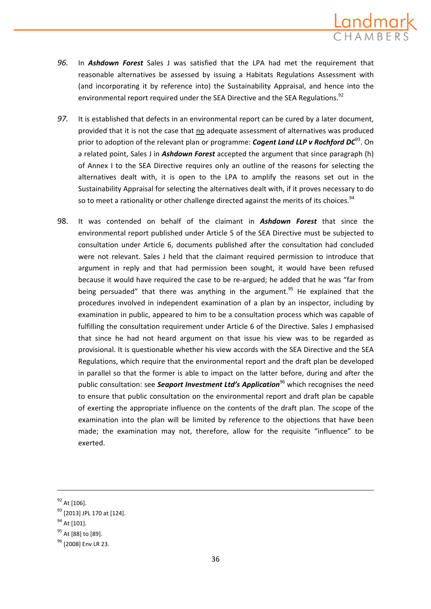

- *96.* In *Ashdown Forest* Sales J was satisfied that the LPA had met the requirement that reasonable alternatives be assessed by issuing a Habitats Regulations Assessment with (and incorporating it by reference into) the Sustainability Appraisal, and hence into the environmental report required under the SEA Directive and the SEA Regulations.<sup>92</sup>
- *97.* It is established that defects in an environmental report can be cured by a later document, provided that it is not the case that no adequate assessment of alternatives was produced prior to adoption of the relevant plan or programme: *Cogent Land LLP v Rochford DC*93. On a related point, Sales J in *Ashdown Forest* accepted the argument that since paragraph (h) of Annex I to the SEA Directive requires only an outline of the reasons for selecting the alternatives dealt with, it is open to the LPA to amplify the reasons set out in the Sustainability Appraisal for selecting the alternatives dealt with, if it proves necessary to do so to meet a rationality or other challenge directed against the merits of its choices.<sup>94</sup>
- 98. It was contended on behalf of the claimant in *Ashdown Forest* that since the environmental report published under Article 5 of the SEA Directive must be subjected to consultation under Article 6, documents published after the consultation had concluded were not relevant. Sales J held that the claimant required permission to introduce that argument in reply and that had permission been sought, it would have been refused because it would have required the case to be re‐argued; he added that he was "far from being persuaded" that there was anything in the argument.<sup>95</sup> He explained that the procedures involved in independent examination of a plan by an inspector, including by examination in public, appeared to him to be a consultation process which was capable of fulfilling the consultation requirement under Article 6 of the Directive. Sales J emphasised that since he had not heard argument on that issue his view was to be regarded as provisional. It is questionable whether his view accords with the SEA Directive and the SEA Regulations, which require that the environmental report and the draft plan be developed in parallel so that the former is able to impact on the latter before, during and after the public consultation: see **Seaport Investment Ltd's Application**<sup>96</sup> which recognises the need to ensure that public consultation on the environmental report and draft plan be capable of exerting the appropriate influence on the contents of the draft plan. The scope of the examination into the plan will be limited by reference to the objections that have been made; the examination may not, therefore, allow for the requisite "influence" to be exerted.

<sup>92</sup> At [106].

<sup>93</sup> [2013] JPL 170 at [124].

<sup>94</sup> At [101].

<sup>&</sup>lt;sup>95</sup> At [88] to [89].

<sup>&</sup>lt;sup>96</sup> [2008] Env LR 23.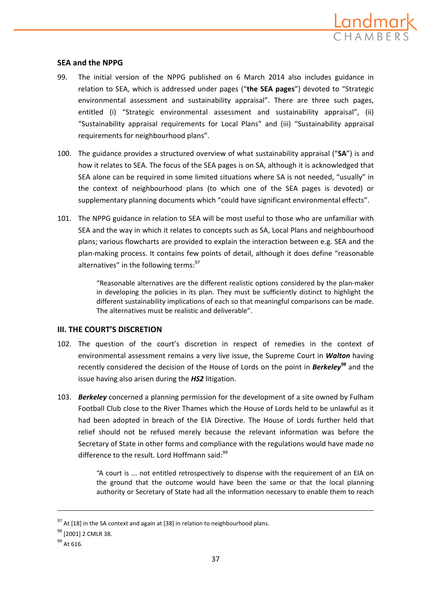

# **SEA and the NPPG**

- 99. The initial version of the NPPG published on 6 March 2014 also includes guidance in relation to SEA, which is addressed under pages ("**the SEA pages**") devoted to "Strategic environmental assessment and sustainability appraisal". There are three such pages, entitled (i) "Strategic environmental assessment and sustainability appraisal", (ii) "Sustainability appraisal requirements for Local Plans" and (iii) "Sustainability appraisal requirements for neighbourhood plans".
- 100. The guidance provides a structured overview of what sustainability appraisal ("**SA**") is and how it relates to SEA. The focus of the SEA pages is on SA, although it is acknowledged that SEA alone can be required in some limited situations where SA is not needed, "usually" in the context of neighbourhood plans (to which one of the SEA pages is devoted) or supplementary planning documents which "could have significant environmental effects".
- 101. The NPPG guidance in relation to SEA will be most useful to those who are unfamiliar with SEA and the way in which it relates to concepts such as SA, Local Plans and neighbourhood plans; various flowcharts are provided to explain the interaction between e.g. SEA and the plan‐making process. It contains few points of detail, although it does define "reasonable alternatives" in the following terms:<sup>97</sup>

"Reasonable alternatives are the different realistic options considered by the plan‐maker in developing the policies in its plan. They must be sufficiently distinct to highlight the different sustainability implications of each so that meaningful comparisons can be made. The alternatives must be realistic and deliverable".

# **III. THE COURT'S DISCRETION**

- 102. The question of the court's discretion in respect of remedies in the context of environmental assessment remains a very live issue, the Supreme Court in *Walton* having recently considered the decision of the House of Lords on the point in *Berkeley<sup>98</sup>* and the issue having also arisen during the *HS2* litigation.
- 103. *Berkeley* concerned a planning permission for the development of a site owned by Fulham Football Club close to the River Thames which the House of Lords held to be unlawful as it had been adopted in breach of the EIA Directive. The House of Lords further held that relief should not be refused merely because the relevant information was before the Secretary of State in other forms and compliance with the regulations would have made no difference to the result. Lord Hoffmann said:<sup>99</sup>

"A court is ... not entitled retrospectively to dispense with the requirement of an EIA on the ground that the outcome would have been the same or that the local planning authority or Secretary of State had all the information necessary to enable them to reach

 $97$  At [18] in the SA context and again at [38] in relation to neighbourhood plans.

<sup>&</sup>lt;sup>98</sup> [2001] 2 CMLR 38.

<sup>99</sup> At 616.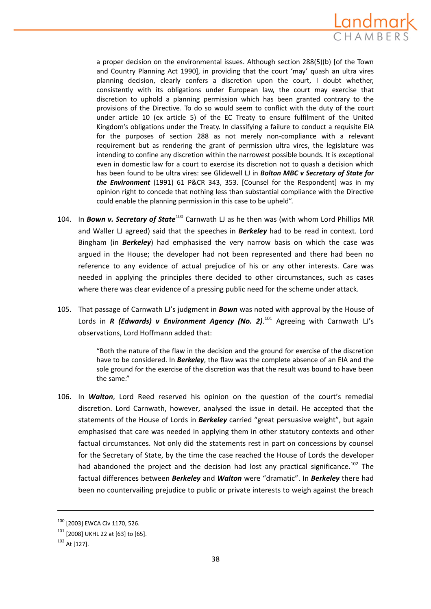

a proper decision on the environmental issues. Although section 288(5)(b) [of the Town and Country Planning Act 1990], in providing that the court 'may' quash an ultra vires planning decision, clearly confers a discretion upon the court, I doubt whether, consistently with its obligations under European law, the court may exercise that discretion to uphold a planning permission which has been granted contrary to the provisions of the Directive. To do so would seem to conflict with the duty of the court under article 10 (ex article 5) of the EC Treaty to ensure fulfilment of the United Kingdom's obligations under the Treaty. In classifying a failure to conduct a requisite EIA for the purposes of section 288 as not merely non-compliance with a relevant requirement but as rendering the grant of permission ultra vires, the legislature was intending to confine any discretion within the narrowest possible bounds. It is exceptional even in domestic law for a court to exercise its discretion not to quash a decision which has been found to be ultra vires: see Glidewell LJ in *Bolton MBC v Secretary of State for the Environment* (1991) 61 P&CR 343, 353. [Counsel for the Respondent] was in my opinion right to concede that nothing less than substantial compliance with the Directive could enable the planning permission in this case to be upheld".

- 104. In *Bown v. Secretary of State*<sup>100</sup> Carnwath LJ as he then was (with whom Lord Phillips MR and Waller LJ agreed) said that the speeches in *Berkeley* had to be read in context. Lord Bingham (in *Berkeley*) had emphasised the very narrow basis on which the case was argued in the House; the developer had not been represented and there had been no reference to any evidence of actual prejudice of his or any other interests. Care was needed in applying the principles there decided to other circumstances, such as cases where there was clear evidence of a pressing public need for the scheme under attack.
- 105. That passage of Carnwath LJ's judgment in *Bown* was noted with approval by the House of Lords in *R (Edwards) v Environment Agency (No. 2)*. <sup>101</sup> Agreeing with Carnwath LJ's observations, Lord Hoffmann added that:

"Both the nature of the flaw in the decision and the ground for exercise of the discretion have to be considered. In *Berkeley*, the flaw was the complete absence of an EIA and the sole ground for the exercise of the discretion was that the result was bound to have been the same."

106. In *Walton*, Lord Reed reserved his opinion on the question of the court's remedial discretion. Lord Carnwath, however, analysed the issue in detail. He accepted that the statements of the House of Lords in *Berkeley* carried "great persuasive weight", but again emphasised that care was needed in applying them in other statutory contexts and other factual circumstances. Not only did the statements rest in part on concessions by counsel for the Secretary of State, by the time the case reached the House of Lords the developer had abandoned the project and the decision had lost any practical significance.<sup>102</sup> The factual differences between *Berkeley* and *Walton* were "dramatic". In *Berkeley* there had been no countervailing prejudice to public or private interests to weigh against the breach

<sup>100</sup> [2003] EWCA Civ 1170, 526.

<sup>101</sup> [2008] UKHL 22 at [63] to [65].

<sup>102</sup> At [127].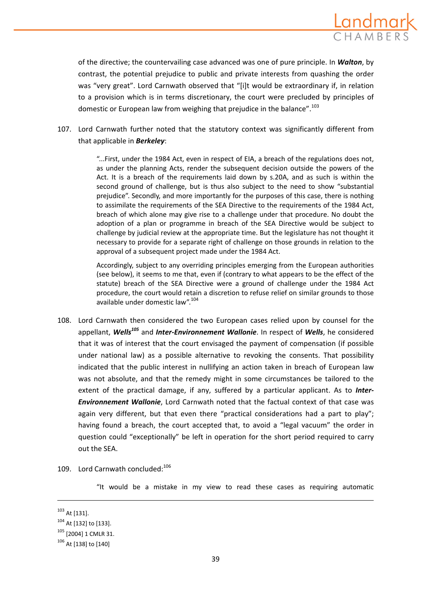

of the directive; the countervailing case advanced was one of pure principle. In *Walton*, by contrast, the potential prejudice to public and private interests from quashing the order was "very great". Lord Carnwath observed that "[i]t would be extraordinary if, in relation to a provision which is in terms discretionary, the court were precluded by principles of domestic or European law from weighing that prejudice in the balance".<sup>103</sup>

107. Lord Carnwath further noted that the statutory context was significantly different from that applicable in *Berkeley*:

> "...First, under the 1984 Act, even in respect of EIA, a breach of the regulations does not, as under the planning Acts, render the subsequent decision outside the powers of the Act. It is a breach of the requirements laid down by s.20A, and as such is within the second ground of challenge, but is thus also subject to the need to show "substantial prejudice". Secondly, and more importantly for the purposes of this case, there is nothing to assimilate the requirements of the SEA Directive to the requirements of the 1984 Act, breach of which alone may give rise to a challenge under that procedure. No doubt the adoption of a plan or programme in breach of the SEA Directive would be subject to challenge by judicial review at the appropriate time. But the legislature has not thought it necessary to provide for a separate right of challenge on those grounds in relation to the approval of a subsequent project made under the 1984 Act.

> Accordingly, subject to any overriding principles emerging from the European authorities (see below), it seems to me that, even if (contrary to what appears to be the effect of the statute) breach of the SEA Directive were a ground of challenge under the 1984 Act procedure, the court would retain a discretion to refuse relief on similar grounds to those available under domestic law".<sup>104</sup>

- 108. Lord Carnwath then considered the two European cases relied upon by counsel for the appellant, *Wells105* and *Inter‐Environnement Wallonie*. In respect of *Wells*, he considered that it was of interest that the court envisaged the payment of compensation (if possible under national law) as a possible alternative to revoking the consents. That possibility indicated that the public interest in nullifying an action taken in breach of European law was not absolute, and that the remedy might in some circumstances be tailored to the extent of the practical damage, if any, suffered by a particular applicant. As to *Inter‐ Environnement Wallonie*, Lord Carnwath noted that the factual context of that case was again very different, but that even there "practical considerations had a part to play"; having found a breach, the court accepted that, to avoid a "legal vacuum" the order in question could "exceptionally" be left in operation for the short period required to carry out the SEA.
- 109. Lord Carnwath concluded:<sup>106</sup>

"It would be a mistake in my view to read these cases as requiring automatic

<u> 1989 - Johann Stein, marwolaethau a bhann an chomhair an chomhair an chomhair an chomhair an chomhair an chom</u>

<sup>103</sup> At [131].

<sup>104</sup> At [132] to [133].

<sup>105</sup> [2004] 1 CMLR 31.

<sup>106</sup> At [138] to [140]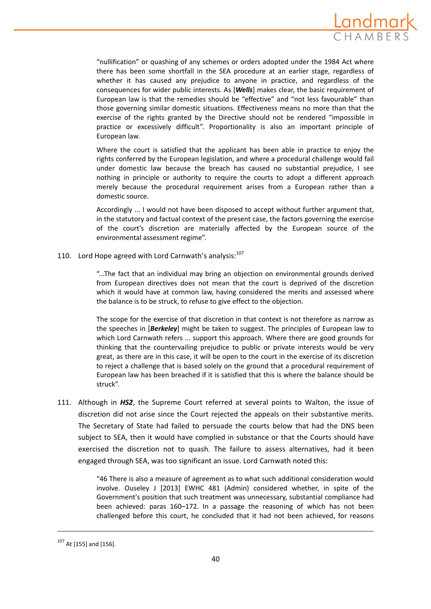

"nullification" or quashing of any schemes or orders adopted under the 1984 Act where there has been some shortfall in the SEA procedure at an earlier stage, regardless of whether it has caused any prejudice to anyone in practice, and regardless of the consequences for wider public interests. As [*Wells*] makes clear, the basic requirement of European law is that the remedies should be "effective" and "not less favourable" than those governing similar domestic situations. Effectiveness means no more than that the exercise of the rights granted by the Directive should not be rendered "impossible in practice or excessively difficult". Proportionality is also an important principle of European law.

Where the court is satisfied that the applicant has been able in practice to enjoy the rights conferred by the European legislation, and where a procedural challenge would fail under domestic law because the breach has caused no substantial prejudice, I see nothing in principle or authority to require the courts to adopt a different approach merely because the procedural requirement arises from a European rather than a domestic source.

Accordingly ... I would not have been disposed to accept without further argument that, in the statutory and factual context of the present case, the factors governing the exercise of the court's discretion are materially affected by the European source of the environmental assessment regime".

110. Lord Hope agreed with Lord Carnwath's analysis: $107$ 

"...The fact that an individual may bring an objection on environmental grounds derived from European directives does not mean that the court is deprived of the discretion which it would have at common law, having considered the merits and assessed where the balance is to be struck, to refuse to give effect to the objection.

The scope for the exercise of that discretion in that context is not therefore as narrow as the speeches in [*Berkeley*] might be taken to suggest. The principles of European law to which Lord Carnwath refers ... support this approach. Where there are good grounds for thinking that the countervailing prejudice to public or private interests would be very great, as there are in this case, it will be open to the court in the exercise of its discretion to reject a challenge that is based solely on the ground that a procedural requirement of European law has been breached if it is satisfied that this is where the balance should be struck".

111. Although in *HS2*, the Supreme Court referred at several points to Walton, the issue of discretion did not arise since the Court rejected the appeals on their substantive merits. The Secretary of State had failed to persuade the courts below that had the DNS been subject to SEA, then it would have complied in substance or that the Courts should have exercised the discretion not to quash. The failure to assess alternatives, had it been engaged through SEA, was too significant an issue. Lord Carnwath noted this:

> "46 There is also a measure of agreement as to what such additional consideration would involve. Ouseley J [2013] EWHC 481 (Admin) considered whether, in spite of the Government's position that such treatment was unnecessary, substantial compliance had been achieved: paras 160–172. In a passage the reasoning of which has not been challenged before this court, he concluded that it had not been achieved, for reasons

<sup>107</sup> At [155] and [156].